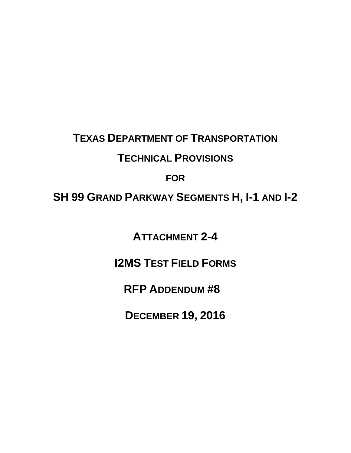# **TEXAS DEPARTMENT OF TRANSPORTATION TECHNICAL PROVISIONS**

### **FOR**

### **SH 99 GRAND PARKWAY SEGMENTS H, I-1 AND I-2**

**ATTACHMENT 2-4** 

### **I2MS TEST FIELD FORMS**

### **RFP ADDENDUM #8**

**DECEMBER 19, 2016**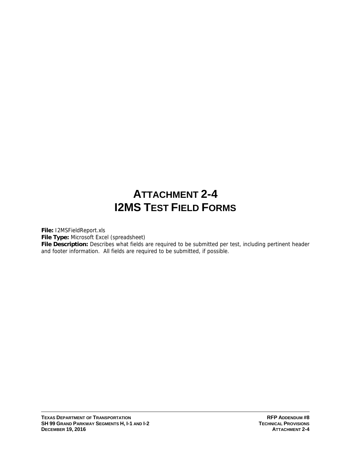## **ATTACHMENT 2-4 I2MS TEST FIELD FORMS**

**File:** I2MSFieldReport.xls

**File Type:** Microsoft Excel (spreadsheet)

**File Description:** Describes what fields are required to be submitted per test, including pertinent header and footer information. All fields are required to be submitted, if possible.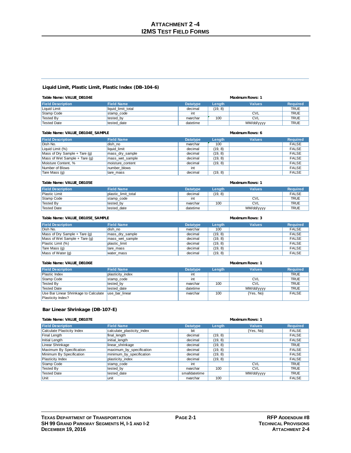#### **Liquid Limit, Plastic Limit, Plastic Index (DB-104-6)**

| Table Name: VALUE_DB104E |                    |                 | <b>Maximum Rows: 1</b> |               |                 |  |
|--------------------------|--------------------|-----------------|------------------------|---------------|-----------------|--|
| <b>Field Description</b> | <b>Field Name</b>  | <b>Datatype</b> | Length                 | <b>Values</b> | <b>Required</b> |  |
| Liquid Limit             | liquid limit total | decimal         | (19, 8)                |               | <b>TRUE</b>     |  |
| Stamp Code               | stamp code         | int             |                        | <b>CVL</b>    | <b>TRUE</b>     |  |
| Tested By                | tested by          | nvarchar        | 100                    | <b>CVL</b>    | <b>TRUE</b>     |  |
| <b>Tested Date</b>       | tested date        | datetime        |                        | MM/dd/yyyy    | <b>TRUE</b>     |  |

| Table Name: VALUE_DB104E_SAMPLE |                   |                 |         | <b>Maximum Rows: 6</b> |                 |
|---------------------------------|-------------------|-----------------|---------|------------------------|-----------------|
| <b>Field Description</b>        | <b>Field Name</b> | <b>Datatype</b> | Length  | <b>Values</b>          | <b>Required</b> |
| Dish No.                        | dish no           | nvarchar        | 100     |                        | <b>FALSE</b>    |
| Liquid Limit (%)                | liquid limit      | decimal         | (19, 8) |                        | <b>FALSE</b>    |
| Mass of Dry Sample $+$ Tare (g) | mass dry sample   | decimal         | (19, 8) |                        | <b>FALSE</b>    |
| Mass of Wet Sample $+$ Tare (q) | mass wet sample   | decimal         | (19, 8) |                        | <b>FALSE</b>    |
| Moisture Content, %             | moisture content  | decimal         | (19, 8) |                        | <b>FALSE</b>    |
| Number of Blows                 | number blows      | int             |         |                        | <b>FALSE</b>    |
| Tare Mass (g)                   | tare mass         | decimal         | (19, 8) |                        | <b>FALSE</b>    |

| Table Name: VALUE DB105E |                     |                 | <b>Maximum Rows: 1</b> |               |                 |  |
|--------------------------|---------------------|-----------------|------------------------|---------------|-----------------|--|
| <b>Field Description</b> | <b>Field Name</b>   | <b>Datatype</b> | <b>Lenath</b>          | <b>Values</b> | <b>Required</b> |  |
| <b>Plastic Limit</b>     | plastic limit total | decimal         | (19, 8)                |               | <b>FALSE</b>    |  |
| Stamp Code               | stamp code          | int             |                        | <b>CVL</b>    | <b>TRUE</b>     |  |
| Tested By                | tested by           | nvarchar        | 100                    | <b>CVL</b>    | <b>TRUE</b>     |  |
| <b>Tested Date</b>       | tested date         | datetime        |                        | MM/dd/yyyy    | <b>TRUE</b>     |  |

| Table Name: VALUE_DB105E_SAMPLE |                   | Maximum Rows: 3 |         |               |                 |
|---------------------------------|-------------------|-----------------|---------|---------------|-----------------|
| <b>Field Description</b>        | <b>Field Name</b> | <b>Datatype</b> | Length  | <b>Values</b> | <b>Required</b> |
| Dish No.                        | dish no           | nvarchar        | 100     |               | <b>FALSE</b>    |
| Mass of Dry Sample $+$ Tare (g) | mass_dry_sample   | decimal         | (19, 8) |               | <b>FALSE</b>    |
| Mass of Wet Sample $+$ Tare (g) | mass wet sample   | decimal         | (19.8)  |               | <b>FALSE</b>    |
| Plastic Limit (%)               | plastic limit     | decimal         | (19, 8) |               | <b>FALSE</b>    |
| Tare Mass (g)                   | tare mass         | decimal         | (19, 8) |               | <b>FALSE</b>    |
| Mass of Water (g)               | water mass        | decimal         | (19, 8) |               | <b>FALSE</b>    |

| Table Name: VALUE_DB106E |  |  |
|--------------------------|--|--|
|--------------------------|--|--|

| Table Name: VALUE_DB106E              | Maximum Rows: 1   |                 |        |               |                 |
|---------------------------------------|-------------------|-----------------|--------|---------------|-----------------|
| <b>Field Description</b>              | <b>Field Name</b> | <b>Datatype</b> | Length | <b>Values</b> | <b>Required</b> |
| Plastic Index                         | plasticity_index  | int             |        |               | <b>TRUE</b>     |
| Stamp Code                            | stamp code        | int             |        | <b>CVL</b>    | <b>TRUE</b>     |
| Tested By                             | tested by         | nvarchar        | 100    | <b>CVL</b>    | <b>TRUE</b>     |
| Tested Date                           | tested date       | datetime        |        | MM/dd/yyyy    | <b>TRUE</b>     |
| Use Bar Linear Shrinkage to Calculate | luse bar linear   | nvarchar        | 100    | {Yes, No}     | <b>FALSE</b>    |
| Plasticity Index?                     |                   |                 |        |               |                 |

#### **Bar Linear Shrinkage (DB-107-E)**

|  | Table Name: VALUE DB107E |
|--|--------------------------|

| Table Name: VALUE_DB107E   |                            | <b>Maximum Rows: 1</b> |         |               |                 |
|----------------------------|----------------------------|------------------------|---------|---------------|-----------------|
| <b>Field Description</b>   | <b>Field Namer</b>         | <b>Datatype</b>        | Length  | <b>Values</b> | <b>Required</b> |
| Calculate Plasticity Index | calculate_plasticity_index | bit                    |         | $\{Yes, No\}$ | <b>FALSE</b>    |
| Final Length               | final_length               | decimal                | (19, 8) |               | <b>FALSE</b>    |
| Initial Length             | initial length             | decimal                | (19, 8) |               | <b>FALSE</b>    |
| Linear Shrinkage           | linear shrinkage           | decimal                | (19, 8) |               | <b>TRUE</b>     |
| Maximum By Specification   | maximum by specification   | decimal                | (19, 8) |               | <b>FALSE</b>    |
| Minimum By Specification   | minimum_by_specification   | decimal                | (19, 8) |               | <b>FALSE</b>    |
| Plasticity Index           | plasticity_index           | decimal                | (19, 8) |               | <b>FALSE</b>    |
| Stamp Code                 | stamp code                 | int                    |         | <b>CVL</b>    | <b>TRUE</b>     |
| Tested By                  | tested by                  | nvarchar               | 100     | <b>CVL</b>    | <b>TRUE</b>     |
| Tested Date                | tested date                | smalldatetime          |         | MM/dd/yyyy    | <b>TRUE</b>     |
| Unit                       | lunit                      | nvarchar               | 100     |               | <b>FALSE</b>    |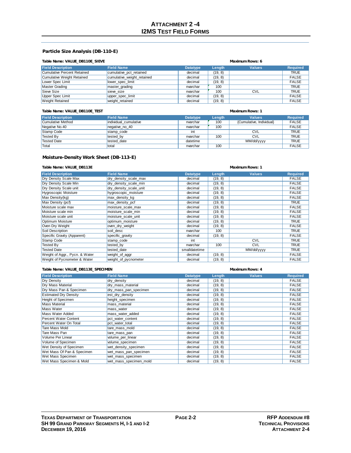#### **Particle Size Analysis (DB-110-E)**

#### **Table Name: VALUE\_DB110E\_SIEVE Maximum Rows: 6**

| <b>Field Description</b>    | <b>Field Name</b>          | <b>Datatype</b> | Length  | <b>Values</b> | <b>Required</b> |
|-----------------------------|----------------------------|-----------------|---------|---------------|-----------------|
| Cumulative Percent Retained | cumulative pct retained    | decimal         | (19, 8) |               | <b>TRUE</b>     |
| Cumulative Weight Retained  | cumulative_weight_retained | decimal         | (19, 8) |               | <b>FALSE</b>    |
| Lower Spec Limit            | lower spec limit           | decimal         | (19, 8) |               | <b>FALSE</b>    |
| Master Grading              | master grading             | nvarchar        | 100     |               | <b>TRUE</b>     |
| Sieve Size                  | sieve size                 | nvarchar        | 100     | <b>CVL</b>    | <b>TRUE</b>     |
| Upper Spec Limit            | upper spec limit           | decimal         | (19, 8) |               | <b>FALSE</b>    |
| <b>Weight Retained</b>      | weight retained            | decimal         | (19, 8) |               | <b>FALSE</b>    |

#### **Table Name: VALUE\_DB110E\_TEST Maximum Rows: 1**

| <b>Field Description</b> | <b>Field Name</b>     | <b>Datatype</b> | Length | <b>Values</b>            | <b>Required</b> |
|--------------------------|-----------------------|-----------------|--------|--------------------------|-----------------|
| Cumulative Method        | individual cumulative | nvarchar        | 100    | {Cumulative, Individual} | <b>FALSE</b>    |
| Negative No.40           | negative no 40        | nvarchar        | 100    |                          | <b>FALSE</b>    |
| Stamp Code               | stamp code            | int             |        | <b>CVL</b>               | <b>TRUE</b>     |
| Tested By                | tested by             | nvarchar        | 100    | <b>CVL</b>               | <b>TRUE</b>     |
| Tested Date              | tested date           | datetime        |        | MM/dd/yyyy               | <b>TRUE</b>     |
| <b>Total</b>             | total                 | nvarchar        | 100    |                          | <b>FALSE</b>    |

### **Moisture-Density Work Sheet (DB-113-E)**

#### **Table Name: VALUE\_DB113E Maximum Rows: 1**

| <b>Field Description</b>       | <b>Field Name</b>      | <b>Datatype</b> | Length  | <b>Values</b> | <b>Required</b> |
|--------------------------------|------------------------|-----------------|---------|---------------|-----------------|
|                                |                        |                 |         |               |                 |
| Dry Density Scale Max          | dry density scale max  | decimal         | (19, 8) |               | <b>FALSE</b>    |
| Dry Density Scale Min          | dry density scale min  | decimal         | (19, 8) |               | <b>FALSE</b>    |
| Dry Density Scale unit         | dry density scale unit | decimal         | (19, 8) |               | <b>FALSE</b>    |
| Hygroscopic Moisture           | hygroscopic_moisture   | decimal         | (19, 8) |               | <b>FALSE</b>    |
| Max Density(kg)                | max_density_kg         | decimal         | (19, 8) |               | <b>FALSE</b>    |
| Max Density (pcf)              | max_density_pcf        | decimal         | (19, 8) |               | <b>TRUE</b>     |
| Moisture scale max             | moisture scale max     | decimal         | (19, 8) |               | <b>FALSE</b>    |
| Moisture scale min             | moisture scale min     | decimal         | (19, 8) |               | <b>FALSE</b>    |
| Moisture scale unit            | moisture scale unit    | decimal         | (19, 8) |               | <b>FALSE</b>    |
| Optimum Moisture               | optimum moisture       | decimal         | (19, 8) |               | <b>TRUE</b>     |
| Oven Dry Weight                | oven_dry_weight        | decimal         | (19, 8) |               | <b>FALSE</b>    |
| Soil Description               | soil desc              | nvarchar        | 100     |               | <b>TRUE</b>     |
| Specific Gravity (Apparent)    | specific_gravity       | decimal         | (19, 8) |               | <b>FALSE</b>    |
| Stamp Code                     | stamp_code             | int             |         | <b>CVL</b>    | <b>TRUE</b>     |
| <b>Tested By</b>               | tested by              | nvarchar        | 100     | <b>CVL</b>    | <b>TRUE</b>     |
| <b>Tested Date</b>             | tested date            | smalldatetime   |         | MM/dd/yyyy    | <b>TRUE</b>     |
| Weight of Aggr., Pycn. & Water | weight_of_aggr         | decimal         | (19, 8) |               | <b>FALSE</b>    |
| Weight of Pycnometer & Water   | weight_of_pycnometer   | decimal         | (19, 8) |               | <b>FALSE</b>    |

#### **Table Name: VALUE\_DB113E\_SPECIMEN Maximum Rows: 4**

| <b>Field Description</b>     | <b>Field Name</b>      | <b>Datatype</b> | Length  | <b>Values</b> | <b>Required</b> |
|------------------------------|------------------------|-----------------|---------|---------------|-----------------|
| Dry Density                  | dry density            | decimal         | (19, 8) |               | <b>FALSE</b>    |
| Dry Mass Material            | dry mass material      | decimal         | (19, 8) |               | <b>FALSE</b>    |
| Dry Mass Pan & Specimen      | dry mass pan specimen  | decimal         | (19, 8) |               | <b>FALSE</b>    |
| <b>Estimated Dry Density</b> | est_dry_density        | decimal         | (19, 8) |               | FALSE           |
| Height of Specimen           | height specimen        | decimal         | (19, 8) |               | <b>FALSE</b>    |
| <b>Mass Material</b>         | mass material          | decimal         | (19, 8) |               | <b>FALSE</b>    |
| Mass Water                   | mass water             | decimal         | (19, 8) |               | <b>FALSE</b>    |
| Mass Water Added             | mass water added       | decimal         | (19, 8) |               | <b>FALSE</b>    |
| Percent Water Content        | pct water content      | decimal         | (19, 8) |               | <b>FALSE</b>    |
| Percent Water On Total       | pct water total        | decimal         | (19, 8) |               | <b>FALSE</b>    |
| Tare Mass Mold               | tare mass mold         | decimal         | (19, 8) |               | <b>FALSE</b>    |
| Tare Mass Pan                | tare_mass_pan          | decimal         | (19, 8) |               | <b>FALSE</b>    |
| Volume Per Linear            | volume_per_linear      | decimal         | (19, 8) |               | <b>FALSE</b>    |
| Volume of Specimen           | volume specimen        | decimal         | (19, 8) |               | <b>FALSE</b>    |
| Wet Density of Specimen      | wet_density_specimen   | decimal         | (19, 8) |               | <b>FALSE</b>    |
| Wet Mass Of Pan & Specimen   | wet mass pan specimen  | decimal         | (19, 8) |               | <b>FALSE</b>    |
| Wet Mass Specimen            | wet mass specimen      | decimal         | (19, 8) |               | <b>FALSE</b>    |
| Wet Mass Specimen & Mold     | wet mass specimen mold | decimal         | (19, 8) |               | <b>FALSE</b>    |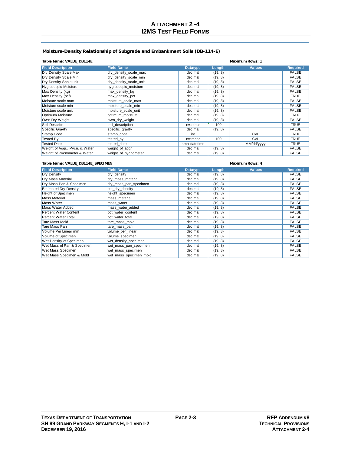#### **Moisture-Density Relationship of Subgrade and Embankment Soils (DB-114-E)**

#### **Table Name: VALUE\_DB114E Maximum Rows: 1**

| <b>Field Description</b>       | <b>Field Name</b>      | <b>Datatype</b> | Length  | <b>Values</b> | <b>Required</b> |
|--------------------------------|------------------------|-----------------|---------|---------------|-----------------|
| Dry Density Scale Max          | dry_density_scale_max  | decimal         | (19, 8) |               | <b>FALSE</b>    |
| Dry Density Scale Min          | dry density scale min  | decimal         | (19, 8) |               | <b>FALSE</b>    |
| Dry Density Scale unit         | dry_density_scale_unit | decimal         | (19, 8) |               | <b>FALSE</b>    |
| <b>Hygroscopic Moisture</b>    | hygroscopic_moisture   | decimal         | (19, 8) |               | <b>FALSE</b>    |
| Max Density (kg)               | max_density_kg         | decimal         | (19, 8) |               | <b>FALSE</b>    |
| Max Density (pcf)              | max density pcf        | decimal         | (19, 8) |               | <b>TRUE</b>     |
| Moisture scale max             | moisture scale max     | decimal         | (19, 8) |               | <b>FALSE</b>    |
| Moisture scale min             | moisture scale min     | decimal         | (19, 8) |               | <b>FALSE</b>    |
| Moisture scale unit            | moisture scale unit    | decimal         | (19, 8) |               | <b>FALSE</b>    |
| Optimum Moisture               | optimum moisture       | decimal         | (19, 8) |               | <b>TRUE</b>     |
| Oven Dry Weight                | oven dry weight        | decimal         | (19, 8) |               | <b>FALSE</b>    |
| Soil Descript                  | soil description       | nvarchar        | 100     |               | <b>TRUE</b>     |
| Specific Gravity               | specific_gravity       | decimal         | (19, 8) |               | <b>FALSE</b>    |
| Stamp Code                     | stamp_code             | int             |         | <b>CVL</b>    | <b>TRUE</b>     |
| <b>Tested By</b>               | tested by              | nvarchar        | 100     | <b>CVL</b>    | <b>TRUE</b>     |
| <b>Tested Date</b>             | tested date            | smalldatetime   |         | MM/dd/yyyy    | TRUE            |
| Weight of Aggr., Pycn. & Water | weight_of_aggr         | decimal         | (19, 8) |               | <b>FALSE</b>    |
| Weight of Pycnometer & Water   | weight_of_pycnometer   | decimal         | (19, 8) |               | <b>FALSE</b>    |

#### **Table Name: VALUE\_DB114E\_SPECIMEN Maximum Rows: 4**

| <b>Field Description</b>     | <b>Field Name</b>      | <b>Datatype</b> | Length  | <b>Values</b> | <b>Required</b> |
|------------------------------|------------------------|-----------------|---------|---------------|-----------------|
| Dry Density                  | dry density            | decimal         | (19, 8) |               | <b>FALSE</b>    |
| Dry Mass Material            | dry_mass_material      | decimal         | (19, 8) |               | <b>FALSE</b>    |
| Dry Mass Pan & Specimen      | dry_mass_pan_specimen  | decimal         | (19, 8) |               | <b>FALSE</b>    |
| <b>Estimated Dry Density</b> | est dry density        | decimal         | (19, 8) |               | <b>FALSE</b>    |
| Height of Specimen           | height specimen        | decimal         | (19, 8) |               | <b>FALSE</b>    |
| <b>Mass Material</b>         | mass material          | decimal         | (19, 8) |               | <b>FALSE</b>    |
| Mass Water                   | mass water             | decimal         | (19, 8) |               | <b>FALSE</b>    |
| Mass Water Added             | mass water added       | decimal         | (19, 8) |               | <b>FALSE</b>    |
| Percent Water Content        | pct water content      | decimal         | (19, 8) |               | <b>FALSE</b>    |
| Percent Water Total          | pct water total        | decimal         | (19, 8) |               | <b>FALSE</b>    |
| Tare Mass Mold               | tare mass mold         | decimal         | (19, 8) |               | <b>FALSE</b>    |
| Tare Mass Pan                | tare_mass_pan          | decimal         | (19, 8) |               | <b>FALSE</b>    |
| Volume Per Linear mm         | volume_per_linear      | decimal         | (19, 8) |               | <b>FALSE</b>    |
| Volume of Specimen           | volume specimen        | decimal         | (19, 8) |               | <b>FALSE</b>    |
| Wet Density of Specimen      | wet density specimen   | decimal         | (19, 8) |               | <b>FALSE</b>    |
| Wet Mass of Pan & Specimen   | wet_mass_pan_specimen  | decimal         | (19, 8) |               | <b>FALSE</b>    |
| Wet Mass Specimen            | wet_mass_specimen      | decimal         | (19, 8) |               | <b>FALSE</b>    |
| Wet Mass Specimen & Mold     | wet mass specimen mold | decimal         | (19, 8) |               | <b>FALSE</b>    |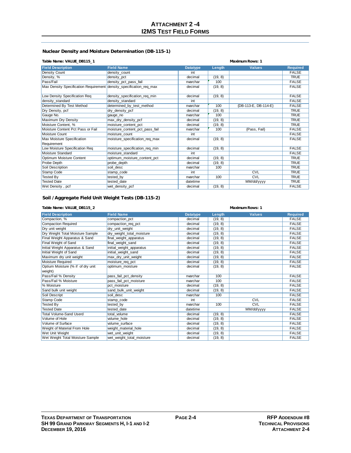#### **Nuclear Density and Moisture Determination (DB-115-1)**

|  | Table Name: VALUE_DB115_1 |
|--|---------------------------|
|--|---------------------------|

| Table Name: VALUE_DB115_1                                           | <b>Maximum Rows: 1</b>         |                 |         |                      |                 |
|---------------------------------------------------------------------|--------------------------------|-----------------|---------|----------------------|-----------------|
| <b>Field Description</b>                                            | <b>Field Name</b>              | <b>Datatype</b> | Length  | <b>Values</b>        | <b>Required</b> |
| Density Count                                                       | density count                  | int             |         |                      | <b>FALSE</b>    |
| Density, %                                                          | density_pct                    | decimal         | (19, 8) |                      | <b>TRUE</b>     |
| Pass/Fail                                                           | density_pct_pass_fail          | nvarchar        | 100     |                      | <b>FALSE</b>    |
| Max Density Specification Requirement density specification req max |                                | decimal         | (19, 8) |                      | <b>FALSE</b>    |
| Low Density Specification Req                                       | density_specification_req_min  | decimal         | (19, 8) |                      | <b>FALSE</b>    |
| density standard                                                    | density standard               | int             |         |                      | <b>FALSE</b>    |
| Determined By Test Method                                           | determined_by_test_method      | nvarchar        | 100     | {DB-113-E, DB-114-E} | <b>FALSE</b>    |
| Dry Density, pcf                                                    | dry_density_pcf                | decimal         | (19, 8) |                      | <b>TRUE</b>     |
| Gauge No.                                                           | gauge no                       | nvarchar        | 100     |                      | <b>TRUE</b>     |
| Maximum Dry Density                                                 | max_dry_density_pcf            | decimal         | (19, 8) |                      | <b>TRUE</b>     |
| Moisture Content, %                                                 | moisture content pct           | decimal         | (19, 8) |                      | <b>TRUE</b>     |
| Moisture Content Pct Pass or Fail                                   | moisture_content_pct_pass_fail | nvarchar        | 100     | {Pass, Fail}         | <b>FALSE</b>    |
| Moisture Count                                                      | moisture count                 | int             |         |                      | <b>FALSE</b>    |
| Max Moisture Specification                                          | moisture specification req max | decimal         | (19, 8) |                      | <b>FALSE</b>    |
| Requirement                                                         |                                |                 |         |                      |                 |
| Low Moisture Specification Req                                      | moisture_specification_req_min | decimal         | (19, 8) |                      | <b>FALSE</b>    |
| Moisture Standard                                                   | moisture standard              | int             |         |                      | <b>FALSE</b>    |
| Optimum Moisture Content                                            | optimum moisture content pct   | decimal         | (19, 8) |                      | <b>TRUE</b>     |
| Probe Depth                                                         | probe depth                    | decimal         | (19, 8) |                      | <b>TRUE</b>     |
| Soil Description                                                    | soil desc                      | nvarchar        | 100     |                      | <b>TRUE</b>     |
| Stamp Code                                                          | stamp code                     | int             |         | <b>CVL</b>           | <b>TRUE</b>     |
| <b>Tested By</b>                                                    | tested_by                      | nvarchar        | 100     | CVL                  | <b>TRUE</b>     |
| <b>Tested Date</b>                                                  | tested date                    | datetime        |         | MM/dd/yyyy           | <b>TRUE</b>     |
| Wet Density, pcf                                                    | wet density pcf                | decimal         | (19, 8) |                      | <b>FALSE</b>    |

### **Soil /Aggregate Field Unit Weight Tests (DB-115-2)**

| Table Name: VALUE_DB115_2         |                           | <b>Maximum Rows: 1</b> |         |               |                 |
|-----------------------------------|---------------------------|------------------------|---------|---------------|-----------------|
| <b>Field Description</b>          | <b>Field Name</b>         | <b>Datatype</b>        | Length  | <b>Values</b> | <b>Required</b> |
| Compaction, %                     | compaction pct            | decimal                | (19, 8) |               | <b>FALSE</b>    |
| Compaction Required               | compaction_req_pct        | decimal                | (19, 8) |               | <b>FALSE</b>    |
| Dry unit weight                   | dry_unit_weight           | decimal                | (19, 8) |               | <b>FALSE</b>    |
| Dry Weight Total Moisture Sample  | dry_weight_total_moisture | decimal                | (19, 8) |               | <b>FALSE</b>    |
| Final Weight Apparatus & Sand     | final_weight_apparatus    | decimal                | (19, 8) |               | <b>FALSE</b>    |
| Final Weight of Sand              | final weight sand         | decimal                | (19, 8) |               | <b>FALSE</b>    |
| Initial Weight Apparatus & Sand   | initial_weight_apparatus  | decimal                | (19, 8) |               | <b>FALSE</b>    |
| Initial Weight of Sand            | initial_weight_sand       | decimal                | (19, 8) |               | <b>FALSE</b>    |
| Maximum dry unit weight           | max_dry_unit_weight       | decimal                | (19, 8) |               | <b>FALSE</b>    |
| Moisture Required                 | moisture_req_pct          | decimal                | (19, 8) |               | <b>FALSE</b>    |
| Optium Moisture (% if of dry unit | optimum moisture          | decimal                | (19, 8) |               | <b>FALSE</b>    |
| weight)                           |                           |                        |         |               |                 |
| Pass/Fail % Density               | pass_fail_pct_density     | nvarchar               | 100     |               | <b>FALSE</b>    |
| Pass/Fail % Moisture              | pass fail pct moisture    | nvarchar               | 100     |               | <b>FALSE</b>    |
| % Moisture                        | pct moisture              | decimal                | (19, 8) |               | <b>FALSE</b>    |
| Sand bulk unit weight             | sand bulk unit weight     | decimal                | (19, 8) |               | <b>FALSE</b>    |
| Soil Descript                     | soil desc                 | nvarchar               | 100     |               | <b>FALSE</b>    |
| Stamp Code                        | stamp code                | int                    |         | <b>CVL</b>    | <b>FALSE</b>    |
| Tested By                         | tested by                 | nvarchar               | 100     | CVL           | <b>FALSE</b>    |
| <b>Tested Date</b>                | tested date               | datetime               |         | MM/dd/yyyy    | <b>FALSE</b>    |
| Total Volume-Sand Userd           | total volume              | decimal                | (19, 8) |               | <b>FALSE</b>    |
| Volume of Hole                    | volume hole               | decimal                | (19, 8) |               | <b>FALSE</b>    |
| Volume of Surface                 | volume surface            | decimal                | (19, 8) |               | <b>FALSE</b>    |
| Weight of Material From Hole      | weight material hole      | decimal                | (19, 8) |               | <b>FALSE</b>    |
| Wet Unit Weight                   | wet unit weight           | decimal                | (19, 8) |               | <b>FALSE</b>    |
| Wet Weight Total Moisture Sample  | wet weight total moisture | decimal                | (19, 8) |               | <b>FALSE</b>    |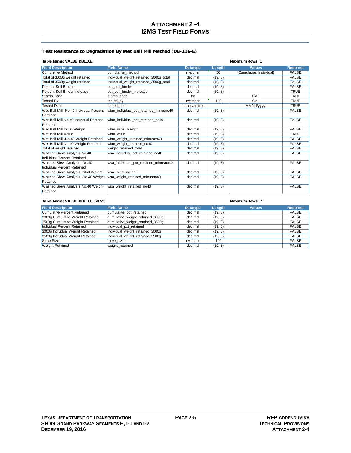#### **Test Resistance to Degradation By Wet Ball Mill Method (DB-116-E)**

#### **Table Name: VALUE\_DB116E Maximum Rows: 1**

| <b>Field Description</b>                | <b>Field Name</b>                      | <b>Datatype</b> | Length  | <b>Values</b>            | <b>Required</b> |
|-----------------------------------------|----------------------------------------|-----------------|---------|--------------------------|-----------------|
| <b>Cumulative Method</b>                | cumulative method                      | nvarchar        | 50      | {Cumulative, Individual} | <b>FALSE</b>    |
| Total of 3000g weight retained          | individual_weight_retained_3000g_total | decimal         | (19, 8) |                          | <b>FALSE</b>    |
| Total of 3500g weight retained          | individual weight retained 3500g total | decimal         | (19, 8) |                          | <b>FALSE</b>    |
| Percent Soil Binder                     | pct soil binder                        | decimal         | (19, 8) |                          | <b>FALSE</b>    |
| Percent Soil Binder Increase            | pct_soil_binder_increase               | decimal         | (19, 8) |                          | <b>TRUE</b>     |
| Stamp Code                              | stamp code                             | int             |         | <b>CVL</b>               | <b>TRUE</b>     |
| <b>Tested By</b>                        | tested by                              | nvarchar        | 100     | <b>CVL</b>               | <b>TRUE</b>     |
| <b>Tested Date</b>                      | tested date                            | smalldatetime   |         | MM/dd/yyyy               | <b>TRUE</b>     |
| Wet Ball Mill -No.40 Individual Percent | wbm_individual_pct_retained_minusno40  | decimal         | (19, 8) |                          | <b>FALSE</b>    |
| Retained                                |                                        |                 |         |                          |                 |
| Wet Ball Mill No.40 Individual Percent  | wbm_individual_pct_retained_no40       | decimal         | (19, 8) |                          | <b>FALSE</b>    |
| Retained                                |                                        |                 |         |                          |                 |
| Wet Ball Mill Initial Weight            | wbm initial weight                     | decimal         | (19, 8) |                          | <b>FALSE</b>    |
| Wet Ball Mill Value                     | wbm value                              | decimal         | (19, 8) |                          | <b>TRUE</b>     |
| Wet Ball Mill -No.40 Weight Retained    | wbm_weight_retained_minusno40          | decimal         | (19, 8) |                          | <b>FALSE</b>    |
| Wet Ball Mill No.40 Weight Retained     | wbm weight retained no40               | decimal         | (19, 8) |                          | <b>FALSE</b>    |
| Total of weight retained                | weight retained total                  | decimal         | (19, 8) |                          | <b>FALSE</b>    |
| Washed Sieve Analysis No.40             | wsa individual pct retained no40       | decimal         | (19, 8) |                          | <b>FALSE</b>    |
| Individual Percent Retained             |                                        |                 |         |                          |                 |
| Washed Sieve Analysis -No.40            | wsa inidividual pct retained minusno40 | decimal         | (19, 8) |                          | <b>FALSE</b>    |
| Individual Percent Retained             |                                        |                 |         |                          |                 |
| Washed Sieve Analysis Initial Weight    | wsa_initial_weight                     | decimal         | (19, 8) |                          | <b>FALSE</b>    |
| Washed Sieve Analysis -No.40 Weight     | wsa weight retained minusno40          | decimal         | (19, 8) |                          | <b>FALSE</b>    |
| Retained                                |                                        |                 |         |                          |                 |
| Washed Sieve Analysis No.40 Weight      | wsa weight retained no40               | decimal         | (19, 8) |                          | <b>FALSE</b>    |
| Retained                                |                                        |                 |         |                          |                 |

#### **Field Description Field Name Datatype Length Values Required** Cumulative Percent Retained cumulative\_pct\_retained and decimal (19, 8) cumulative Percent Retained FALSE 3000g Cumulative Weight Retained cumulative\_weight\_retained\_3000g decimal (19, 8) FALSE 3500g Cumulative Weight Retained cumulative\_weight\_retained\_3500g decimal (19, 8) FALSE<br>|Individual Percent Retained | individual\_pct\_retained decimal (19, 8) FALSE Individual Percent Retained individual pct\_retained decimal decimal (19, 8) FALSE<br>19000g Individual Weight Retained individual weight retained 3000g decimal (19, 8) FALSE 3000g Individual Weight Retained individual\_weight\_retained\_3000g decimal (19, 8) FALSE individual\_weight\_retained\_3500g Sieve Size sieve\_size nvarchar 100 FALSE FALSE Weight Retained weight\_retained weight\_retained decimal (19, 8) FALSE **Table Name: VALUE\_DB116E\_SIEVE Maximum Rows: 7**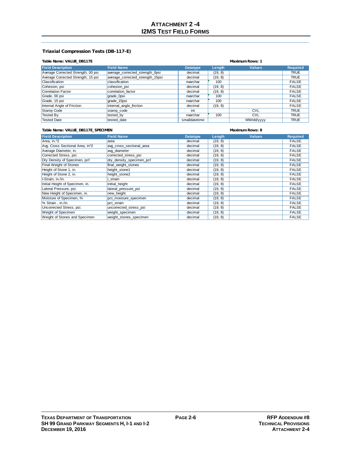#### **Triaxial Compression Tests (DB-117-E)**

#### **Table Name: VALUE\_DB117E Maximum Rows: 1**

| <b>Field Description</b>           | <b>Field Name</b>                | <b>Datatype</b> | Length  | <b>Values</b> | <b>Required</b> |
|------------------------------------|----------------------------------|-----------------|---------|---------------|-----------------|
| Average Corrected Strength, 00 psi | average corrected strength Opsi  | decimal         | (19, 8) |               | <b>TRUE</b>     |
| Average Corrected Strength, 15 psi | average corrected strength 15psi | decimal         | (19, 8) |               | TRUE            |
| <b>Classification</b>              | classification                   | nvarchar        | 100     |               | <b>FALSE</b>    |
| Cohesion, psi                      | cohesion psi                     | decimal         | (19, 8) |               | <b>FALSE</b>    |
| Correlation Factor                 | correlation factor               | decimal         | (19, 8) |               | <b>FALSE</b>    |
| Grade, 00 psi                      | grade_0psi                       | nvarchar        | 100     |               | <b>FALSE</b>    |
| Grade, 15 psi                      | grade 15psi                      | nvarchar        | 100     |               | <b>FALSE</b>    |
| Internal Angle of Friction         | internal angle friction          | decimal         | (19, 8) |               | <b>FALSE</b>    |
| Stamp Code                         | stamp code                       | int             |         | <b>CVL</b>    | <b>TRUE</b>     |
| <b>Tested By</b>                   | tested by                        | nvarchar        | 100     | <b>CVL</b>    | <b>TRUE</b>     |
| <b>Tested Date</b>                 | tested date                      | smalldatetime   |         | MM/dd/yyyy    | <b>TRUE</b>     |

#### **Table Name: VALUE\_DB117E\_SPECIMEN Maximum Rows: 8**

| <b>Field Description</b>                     | <b>Field Name</b>        | <b>Datatype</b> | Length  | <b>Values</b> | <b>Required</b> |
|----------------------------------------------|--------------------------|-----------------|---------|---------------|-----------------|
| Area, in. ^2                                 | area                     | decimal         | (19, 8) |               | <b>FALSE</b>    |
| Avg. Cross Sectional Area, in <sup>2</sup> 2 | avg cross sectional area | decimal         | (19, 8) |               | <b>FALSE</b>    |
| Average Diameter, in.                        | avg diameter             | decimal         | (19, 8) |               | <b>FALSE</b>    |
| Corrected Stress, psi.                       | corrected stress psi     | decimal         | (19, 8) |               | <b>FALSE</b>    |
| Dry Density of Specimen, pcf                 | dry density specimen pcf | decimal         | (19, 8) |               | <b>FALSE</b>    |
| <b>Final Weight of Stones</b>                | final weight stones      | decimal         | (19, 8) |               | <b>FALSE</b>    |
| Height of Stone 1, in.                       | height stone1            | decimal         | (19, 8) |               | <b>FALSE</b>    |
| Height of Stone 2, in.                       | height stone2            | decimal         | (19, 8) |               | <b>FALSE</b>    |
| I-Strain, in./in.                            | strain                   | decimal         | (19, 8) |               | <b>FALSE</b>    |
| Initial Height of Specimen, in.              | initial height           | decimal         | (19, 8) |               | <b>FALSE</b>    |
| Lateral Pressure, psi.                       | lateral_pressure_psi     | decimal         | (19, 8) |               | <b>FALSE</b>    |
| New Height of Specimen, in.                  | new height               | decimal         | (19, 8) |               | <b>FALSE</b>    |
| Moisture of Specimen, %                      | pct moisture specimen    | decimal         | (19, 8) |               | <b>FALSE</b>    |
| % Strain, in./in.                            | pct strain               | decimal         | (19, 8) |               | <b>FALSE</b>    |
| Uncorrected Stress, psi.                     | uncorrected stress psi   | decimal         | (19, 8) |               | <b>FALSE</b>    |
| Weight of Specimen                           | weight specimen          | decimal         | (19, 8) |               | <b>FALSE</b>    |
| Weight of Stones and Specimen                | weight stones specimen   | decimal         | (19, 8) |               | <b>FALSE</b>    |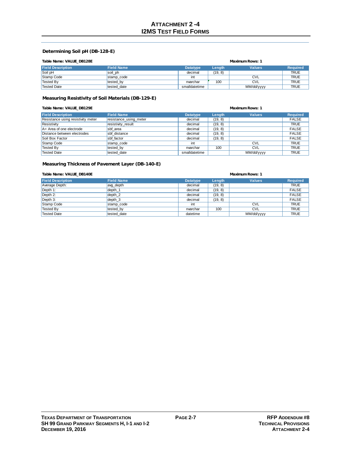#### **Determining Soil pH (DB-128-E)**

|  | Table Name: VALUE_DB128E |
|--|--------------------------|

| Table Name: VALUE_DB128E |                   | Maximum Rows: 1 |         |               |                 |
|--------------------------|-------------------|-----------------|---------|---------------|-----------------|
| <b>Field Description</b> | <b>Field Name</b> | <b>Datatype</b> | Length  | <b>Values</b> | <b>Required</b> |
| Soil pH                  | soil ph           | decimal         | (19, 8) |               | <b>TRUE</b>     |
| Stamp Code               | stamp code        | int             |         | <b>CVL</b>    | <b>TRUE</b>     |
| Tested By                | tested by         | nvarchar        | 100     | <b>CVL</b>    | <b>TRUE</b>     |
| <b>Tested Date</b>       | tested date       | smalldatetime   |         | MM/dd/yyyy    | <b>TRUE</b>     |

#### **Measuring Resistivity of Soil Materials (DB-129-E)**

| Table Name: VALUE DB129E           | Maximum Rows: 1        |                 |         |               |                 |
|------------------------------------|------------------------|-----------------|---------|---------------|-----------------|
| <b>Field Description</b>           | <b>Field Name</b>      | <b>Datatype</b> | Length  | <b>Values</b> | <b>Required</b> |
| Resistance using resistivity meter | resistance_using_meter | decimal         | (19, 8) |               | <b>FALSE</b>    |
| Resistivity                        | resistivity result     | decimal         | (19, 8) |               | <b>TRUE</b>     |
| $A = Area of one electrode$        | sbf area               | decimal         | (19, 8) |               | <b>FALSE</b>    |
| Distance between electrodes        | sbf distance           | decimal         | (19, 8) |               | <b>FALSE</b>    |
| Soil Box Factor                    | sbf factor             | decimal         | (19, 8) |               | <b>FALSE</b>    |
| Stamp Code                         | stamp code             | int             |         | <b>CVL</b>    | <b>TRUE</b>     |
| <b>Tested By</b>                   | tested_by              | nvarchar        | 100     | <b>CVL</b>    | <b>TRUE</b>     |
| <b>Tested Date</b>                 | tested date            | smalldatetime   |         | MM/dd/vyyy    | <b>TRUE</b>     |

#### **Measuring Thickness of Pavement Layer (DB-140-E)**

| Table Name: VALUE DB140E | Maximum Rows: 1   |                 |         |               |                 |
|--------------------------|-------------------|-----------------|---------|---------------|-----------------|
| <b>Field Description</b> | <b>Field Name</b> | <b>Datatype</b> | Length  | <b>Values</b> | <b>Required</b> |
| Average Depth:           | avg depth         | decimal         | (19, 8) |               | <b>TRUE</b>     |
| Depth $1$ :              | depth 1           | decimal         | (19, 8) |               | <b>FALSE</b>    |
| Depth 2:                 | depth 2           | decimal         | (19, 8) |               | <b>FALSE</b>    |
| $\vert$ Depth 3:         | depth 3           | decimal         | (19, 8) |               | <b>FALSE</b>    |
| <b>Stamp Code</b>        | stamp code        | int             |         | <b>CVL</b>    | <b>TRUE</b>     |
| Tested By                | tested by         | nvarchar        | 100     | <b>CVL</b>    | <b>TRUE</b>     |
| <b>Tested Date</b>       | tested date       | datetime        |         | MM/dd/yyyy    | <b>TRUE</b>     |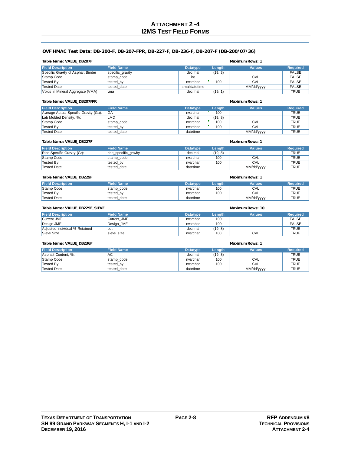#### **OVF HMAC Test Data: DB-200-F, DB-207-FPR, DB-227-F, DB-236-F, DB-207-F (DB-200/07/36)**

|  | Table Name: VALUE DB207F |
|--|--------------------------|
|  |                          |

### **Maximum Rows: 1**

| <b>Field Description</b>           | <b>Field Name</b> | <b>Datatype</b> | Length  | <b>Values</b> | <b>Required</b> |
|------------------------------------|-------------------|-----------------|---------|---------------|-----------------|
| Specific Gravity of Asphalt Binder | specific_gravity  | decimal         | (19, 3) |               | <b>FALSE</b>    |
| Stamp Code                         | stamp code        | int             |         | <b>CVL</b>    | <b>FALSE</b>    |
| Tested By                          | tested by         | nvarchar        | 100     | <b>CVL</b>    | <b>FALSE</b>    |
| <b>Tested Date</b>                 | tested date       | smalldatetime   |         | MM/dd/yyyy    | <b>FALSE</b>    |
| Voids in Mineral Aggregate (VMA)   | lwma              | decimal         | (19, 1) |               | <b>TRUE</b>     |

#### **Table Name: VALUE\_DB207FPR Maximum Rows: 1**

| <b>Field Description</b>              | <b>Field Name</b> | <b>Datatype</b> | Lenath  | <b>Values</b> | <b>Required</b> |
|---------------------------------------|-------------------|-----------------|---------|---------------|-----------------|
| Average Actual Specific Gravity (Ga): | IGA               | nvarchar        | 100     |               | <b>TRUE</b>     |
| Lab Molded Density, %:                | LMD               | decimal         | (19, 8) |               | <b>TRUE</b>     |
| Stamp Code                            | stamp code        | nvarchar        | 100     | <b>CVL</b>    | <b>TRUE</b>     |
| Tested By                             | tested by         | nvarchar        | 100     | <b>CVL</b>    | <b>TRUE</b>     |
| <b>Tested Date</b>                    | tested date       | datetime        |         | MM/dd/yyyy    | <b>TRUE</b>     |

| Table Name: VALUE DB227F    |                       | <b>Maximum Rows: 1</b> |         |               |                 |
|-----------------------------|-----------------------|------------------------|---------|---------------|-----------------|
| <b>Field Description</b>    | <b>Field Name</b>     | <b>Datatype</b>        | Length  | <b>Values</b> | <b>Required</b> |
| Rice Specific Gravity (Gr): | rice_specific_gravity | decimal                | (19, 8) |               | <b>TRUE</b>     |
| Stamp Code                  | stamp code            | nvarchar               | 100     | <b>CVL</b>    | <b>TRUE</b>     |
| Tested By                   | tested by             | nvarchar               | 100     | <b>CVL</b>    | <b>TRUE</b>     |
| <b>Tested Date</b>          | tested date           | datetime               |         | MM/dd/yyyy    | <b>TRUE</b>     |

#### **Table Name: VALUE\_DB229F Maximum Rows: 1**

| <b>Field Description</b> | <b>Field Name</b> | <b>Datatvpe</b> | Lenath | <b>Values</b> | Required    |
|--------------------------|-------------------|-----------------|--------|---------------|-------------|
| Stamp Code               | stamp code        | nvarchar        | 100    | <b>CVL</b>    | TRUE        |
| <sup>I</sup> Tested By   | tested by         | nvarchar        | 100    | <b>CVL</b>    | <b>TRUE</b> |
| <sup>'</sup> Tested Date | tested_date       | datetime        |        | MM/dd/yyyy    | <b>TRUE</b> |

#### **Field Description Field Name Datatype Length Values Required** Current JMF **Current\_JMF Current Current Current Current Current Current Current Current Current Current Current Current Current Current Current Current Current Current Current Current Current Current Current Current Cur** Design JMF **Design\_JMF** nvarchar 100 FALSE Adjusted Individual % Retained decimal (19, 8) TRUE Sieve Size sieve\_size nvarchar 100 CVL TRUE TRUE **Table Name: VALUE\_DB229F\_SIEVE Maximum Rows: 10**

#### **Table Name: VALUE\_DB236F Maximum Rows: 1**

| <b>Field Description</b> | <b>Field Name</b> | <b>Datatype</b> | Length  | <b>Values</b> | <b>Required</b> |
|--------------------------|-------------------|-----------------|---------|---------------|-----------------|
| Asphalt Content, %:      | <b>AC</b>         | decimal         | (19, 8) |               | <b>TRUE</b>     |
| Stamp Code               | stamp code        | nvarchar        | 100     | <b>CVL</b>    | <b>TRUE</b>     |
| Tested By                | tested by         | nvarchar        | 100     | <b>CVL</b>    | <b>TRUE</b>     |
| <b>Tested Date</b>       | tested date       | datetime        |         | MM/dd/yyyy    | <b>TRUE</b>     |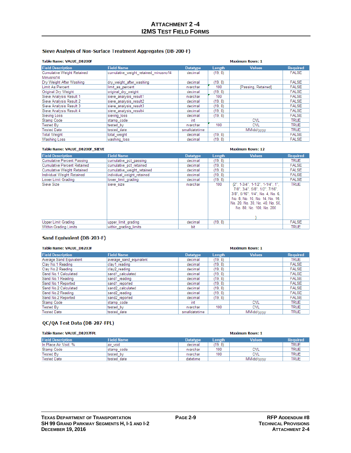### Sieve Analysis of Non-Surface Treatment Aggregates (DB-200-F)

#### Table Name: VALUE DB200F

| <b>Table Name: VALUE DB200F</b>   | <b>Maximum Rows: 1</b>               |                 |         |                     |                 |
|-----------------------------------|--------------------------------------|-----------------|---------|---------------------|-----------------|
| <b>Field Description</b>          | <b>Field Name</b>                    | <b>Datatype</b> | Length  | <b>Values</b>       | <b>Required</b> |
| <b>Cumulative Weight Retained</b> | cumulative weight retained minusno14 | decimal         | (19, 8) |                     | <b>FALSE</b>    |
| Minusno14                         |                                      |                 |         |                     |                 |
| Dry Weight After Washing          | dry weight after washing             | decimal         | (19, 8) |                     | <b>FALSE</b>    |
| Limit As Percent                  | limit as percent                     | nvarchar        | 100     | {Passing, Retained} | <b>FALSE</b>    |
| Original Dry Weight               | original dry weight                  | decimal         | (19, 8) |                     | <b>FALSE</b>    |
| Sieve Analysis Result 1           | sieve analysis result1               | nvarchar        | 100     |                     | <b>FALSE</b>    |
| Sieve Analysis Result 2           | sieve analysis result2               | decimal         | (19, 8) |                     | <b>FALSE</b>    |
| Sieve Analysis Result 3           | sieve analysis result3               | decimal         | (19, 8) |                     | <b>FALSE</b>    |
| Sieve Analysis Result 4           | sieve analysis result4               | decimal         | (19, 8) |                     | <b>FALSE</b>    |
| Sieving Loss                      | sieving loss                         | decimal         | (19, 8) |                     | <b>FALSE</b>    |
| Stamp Code                        | stamp code                           | int             |         | <b>CVL</b>          | <b>TRUE</b>     |
| <b>Tested By</b>                  | tested by                            | nvarchar        | 100     | <b>CVL</b>          | <b>TRUE</b>     |
| <b>Tested Date</b>                | tested date                          | smalldatetime   |         | MM/dd/yyyy          | <b>TRUE</b>     |
| <b>Total Weight</b>               | total weight                         | decimal         | (19, 8) |                     | <b>FALSE</b>    |
| <b>Washing Loss</b>               | washing loss                         | decimal         | (19, 8) |                     | <b>FALSE</b>    |

| Table Name: VALUE DB200F SIEVE     |                            |                 |         | <b>Maximum Rows: 12</b>                                                                                                                                                                                    |                 |
|------------------------------------|----------------------------|-----------------|---------|------------------------------------------------------------------------------------------------------------------------------------------------------------------------------------------------------------|-----------------|
| <b>Field Description</b>           | <b>Field Name</b>          | <b>Datatype</b> | Length  | <b>Values</b>                                                                                                                                                                                              | <b>Required</b> |
| <b>Cumulative Percent Passing</b>  | cumulative pct passing     | decimal         | (19.8)  |                                                                                                                                                                                                            | <b>TRUE</b>     |
| <b>Cumulative Percent Retained</b> | cumulative pct retained    | decimal         | (19.8)  |                                                                                                                                                                                                            | <b>FALSE</b>    |
| <b>Cumulative Weight Retained</b>  | cumulative weight retained | decimal         | (19, 8) |                                                                                                                                                                                                            | <b>FALSE</b>    |
| Individual Weight Retained         | individual weight retained | decimal         | (19.8)  |                                                                                                                                                                                                            | <b>FALSE</b>    |
| Lower Limit Grading                | lower limit grading        | decimal         | (19.8)  |                                                                                                                                                                                                            | <b>FALSE</b>    |
| Sieve Size                         | sieve size                 | nvarchar        | 100     | ${2"$ , 1-3/4", 1-1/2", 1-1/4", 1",<br>7/8", 3/4", 5/8", 1/2", 7/16",<br>3/8", 5/16", 1/4", No. 4, No. 6,<br>No. 8, No. 10, No. 14, No. 16,<br>No. 20, No. 30, No. 40, No. 50,<br>No. 80, No. 100, No. 200 | <b>TRUE</b>     |
| Upper Limit Grading                | upper limit grading        | decimal         | (19.8)  |                                                                                                                                                                                                            | <b>FALSE</b>    |
| Within Grading Limits              | within grading limits      | bit             |         |                                                                                                                                                                                                            | <b>TRUE</b>     |

#### Sand Equivalent (DB-203-F)

#### Table Name: VALUE DB203F

| <b>Table Name: VALUE DB203F</b> |                         | <b>Maximum Rows: 1</b> |         |               |                 |
|---------------------------------|-------------------------|------------------------|---------|---------------|-----------------|
| <b>Field Description</b>        | <b>Field Name</b>       | <b>Datatype</b>        | Length  | <b>Values</b> | <b>Required</b> |
| Average Sand Equivalent         | average sand equivalent | decimal                | (19, 8) |               | <b>TRUE</b>     |
| Clay No.1 Reading               | clay1 reading           | decimal                | (19, 8) |               | <b>FALSE</b>    |
| Clay No.2 Reading               | clay2 reading           | decimal                | (19, 8) |               | <b>FALSE</b>    |
| Sand No.1 Calculated            | sand1 calculated        | decimal                | (19, 8) |               | <b>FALSE</b>    |
| Sand No.1 Reading               | sand1 reading           | decimal                | (19, 8) |               | <b>FALSE</b>    |
| Sand No.1 Reported              | sand1 reported          | decimal                | (19, 8) |               | <b>FALSE</b>    |
| Sand No.2 Calculated            | sand2 calculated        | decimal                | (19.8)  |               | <b>FALSE</b>    |
| Sand No.2 Reading               | sand2 reading           | decimal                | (19.8)  |               | <b>FALSE</b>    |
| Sand No.2 Reported              | sand2 reported          | decimal                | (19, 8) |               | <b>FALSE</b>    |
| Stamp Code                      | stamp code              | int                    |         | <b>CVL</b>    | <b>TRUE</b>     |
| Tested Bv                       | tested by               | nvarchar               | 100     | <b>CVL</b>    | <b>TRUE</b>     |
| <b>Tested Date</b>              | tested date             | smalldatetime          |         | MM/dd/yyyy    | <b>TRUE</b>     |

### QC/QA Test Data (DB-207-FPL)

| <b>Table Name: VALUE DB207FPL</b> |                   | <b>Maximum Rows: 1</b> |        |               |                 |
|-----------------------------------|-------------------|------------------------|--------|---------------|-----------------|
| <b>Field Description</b>          | <b>Field Name</b> | <b>Datatype</b>        | Length | <b>Values</b> | <b>Required</b> |
| In Place Air Void, %              | air void          | decimal                | (19.8) |               | <b>TRUE</b>     |
| Stamp Code                        | stamp code        | nvarchar               | 100    | CVL           | <b>TRUE</b>     |
| <b>Tested By</b>                  | tested by         | nvarchar               | 100    | <b>CVL</b>    | <b>TRUE</b>     |
| <b>Tested Date</b>                | tested date       | datetime               |        | MM/dd/yyyy    | <b>TRUE</b>     |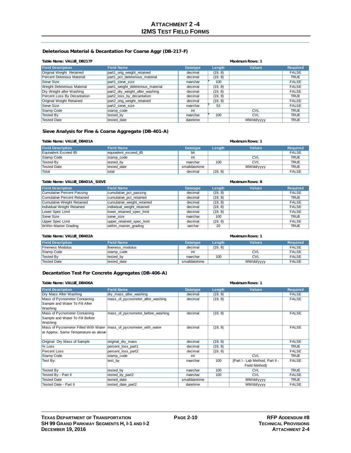#### **Deleterious Material & Decantation For Coarse Aggr (DB-217-F)**

#### **Table Name: VALUE\_DB217F Maximum Rows: 1**

| <b>Field Description</b>           | <b>Field Name</b>                 | <b>Datatype</b> | Length  | <b>Values</b> | <b>Required</b> |
|------------------------------------|-----------------------------------|-----------------|---------|---------------|-----------------|
| Original Weight Retained           | part1_orig_weight_retained        | decimal         | (19, 8) |               | <b>FALSE</b>    |
| Percent Deterious Material         | part1 pct deleterious material    | decimal         | (19, 8) |               | <b>TRUE</b>     |
| Sieve Size                         | part1 sieve size                  | nvarchar        | 100     |               | <b>FALSE</b>    |
| <b>Weight Deleterious Material</b> | part1 weight deleterious material | decimal         | (19, 8) |               | <b>FALSE</b>    |
| Dry Weight after Washing           | part2_dry_weight_after_washing    | decimal         | (19, 8) |               | <b>FALSE</b>    |
| Percent Loss By Decantation        | part2_loss_by_decantation         | decimal         | (19, 8) |               | <b>TRUE</b>     |
| Original Weight Retained           | part2 orig weight retained        | decimal         | (19, 8) |               | <b>FALSE</b>    |
| Sieve Size                         | part2 sieve size                  | nvarchar        | 53      |               | <b>FALSE</b>    |
| Stamp Code                         | stamp code                        | int             |         | <b>CVL</b>    | <b>TRUE</b>     |
| Tested By                          | tested by                         | nvarchar        | 100     | <b>CVL</b>    | <b>TRUE</b>     |
| <b>Tested Date</b>                 | tested date                       | datetime        |         | MM/dd/yyyy    | <b>TRUE</b>     |

#### **Sieve Analysis for Fine & Coarse Aggregate (DB-401-A)**

| Table Name: VALUE DB401A |                       |                 | <b>Maximum Rows: 1</b> |               |                 |  |
|--------------------------|-----------------------|-----------------|------------------------|---------------|-----------------|--|
| <b>Field Description</b> | <b>Field Name</b>     | <b>Datatype</b> | Lenath                 | <b>Values</b> | <b>Required</b> |  |
| Equivalent Exceed 85     | lequivalent exceed 85 | bit             |                        |               | <b>FALSE</b>    |  |
| Stamp Code               | stamp code            | int             |                        | <b>CVL</b>    | <b>TRUE</b>     |  |
| Tested Bv                | tested by             | nvarchar        | 100                    | <b>CVL</b>    | <b>TRUE</b>     |  |
| Tested Date              | tested date           | smalldatetime   |                        | MM/dd/yyyy    | <b>TRUE</b>     |  |
| <b>T</b> otal            | total                 | decimal         | (19, 8)                |               | <b>FALSE</b>    |  |

#### **Table Name: VALUE\_DB401A\_SIEVE Maximum Rows: 8**

| <b>Field Description</b>    | <b>Field Name</b>          | <b>Datatype</b> | Length  | <b>Values</b> | <b>Required</b> |
|-----------------------------|----------------------------|-----------------|---------|---------------|-----------------|
| Cumulative Percent Passing  | cumulative pct passing     | decimal         | (19, 8) |               | <b>FALSE</b>    |
| Cumulative Percent Retained | cumulative pct retained    | decimal         | (19, 8) |               | <b>TRUE</b>     |
| Cumulative Weight Retained  | cumulative weight retained | decimal         | (19, 8) |               | <b>FALSE</b>    |
| Individual Weight Retained  | individual weight retained | decimal         | (19, 8) |               | <b>FALSE</b>    |
| Lower Spec Limit            | lower retained spec limit  | decimal         | (19, 8) |               | <b>FALSE</b>    |
| Sieve Size                  | sieve size                 | nvarchar        | 100     |               | <b>TRUE</b>     |
| Upper Spec Limit            | upper retained spec limit  | decimal         | (19, 8) |               | <b>FALSE</b>    |
| Within Master Grading       | within master grading      | varchar         | 20      |               | <b>TRUE</b>     |

| Table Name: VALUE_DB402A | Maximum Rows: 1   |                 |         |               |                 |
|--------------------------|-------------------|-----------------|---------|---------------|-----------------|
| <b>Field Description</b> | <b>Field Name</b> | <b>Datatype</b> | Length  | <b>Values</b> | <b>Required</b> |
| <b>Fineness Modulus</b>  | fineness modulus  | decimal         | (19, 8) |               | <b>FALSE</b>    |
| Stamp Code               | stamp code        | int             |         | <b>CVL</b>    | <b>FALSE</b>    |
| Tested By                | tested by         | nvarchar        | 100     | <b>CVL</b>    | <b>FALSE</b>    |
| <b>Tested Date</b>       | tested date       | smalldatetime   |         | MM/dd/yyyy    | <b>FALSE</b>    |

#### **Decantation Test For Concrete Aggregates (DB-406-A)**

| Table Name: VALUE_DB406A                                             |                                   |                 |         | <b>Maximum Rows: 1</b>          |                 |
|----------------------------------------------------------------------|-----------------------------------|-----------------|---------|---------------------------------|-----------------|
| <b>Field Description</b>                                             | <b>Field Name</b>                 | <b>Datatype</b> | Length  | <b>Values</b>                   | <b>Required</b> |
| Dry Mass After Washing                                               | dry_mass_after_washing            | decimal         | (19, 8) |                                 | <b>FALSE</b>    |
| Mass of Pycnometer Containing                                        | mass of pycnometer after washing  | decimal         | (19, 8) |                                 | <b>FALSE</b>    |
| Sample and Water To Fill After                                       |                                   |                 |         |                                 |                 |
| Washing                                                              |                                   |                 |         |                                 |                 |
| Mass of Pycnometer Containing                                        | mass of pycnometer before washing | decimal         | (19, 8) |                                 | <b>FALSE</b>    |
| Sample and Water To Fill Before                                      |                                   |                 |         |                                 |                 |
| Washing                                                              |                                   |                 |         |                                 |                 |
| Mass of Pycnometer Filled With Water   mass of pycnometer with water |                                   | decimal         | (19, 8) |                                 | <b>FALSE</b>    |
| at Approx. Same Temperature as above                                 |                                   |                 |         |                                 |                 |
|                                                                      |                                   |                 |         |                                 |                 |
| Original Dry Mass of Sample                                          | original dry mass                 | decimal         | (19, 8) |                                 | <b>FALSE</b>    |
| % Loss                                                               | percent_loss_part1                | decimal         | (19, 8) |                                 | <b>TRUE</b>     |
| Percent Loss                                                         | percent loss part2                | decimal         | (19, 8) |                                 | <b>FALSE</b>    |
| Stamp Code                                                           | stamp_code                        | int             |         | <b>CVL</b>                      | <b>TRUE</b>     |
| Test By:                                                             | test by                           | nvarchar        | 100     | {Part I - Lab Method, Part II - | <b>FALSE</b>    |
|                                                                      |                                   |                 |         | Field Method}                   |                 |
| <b>Tested By</b>                                                     | tested by                         | nvarchar        | 100     | <b>CVL</b>                      | <b>TRUE</b>     |
| Tested By - Part II                                                  | tested_by_part2                   | nvarchar        | 100     | <b>CVL</b>                      | <b>FALSE</b>    |
| <b>Tested Date</b>                                                   | tested date                       | smalldatetime   |         | MM/dd/yyyy                      | <b>TRUE</b>     |
| Tested Date - Part II                                                | tested date part2                 | datetime        |         | MM/dd/yyyy                      | <b>FALSE</b>    |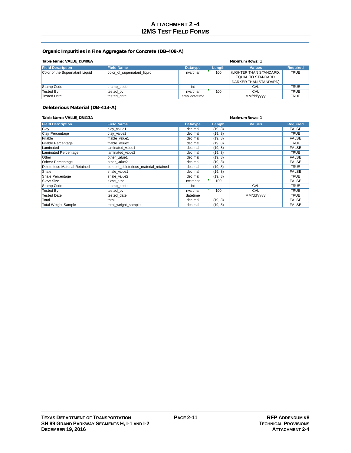#### **Organic Impurities in Fine Aggregate for Concrete (DB-408-A)**

| Table Name: VALUE DB408A        |                             | Maximum Rows: 1 |        |                         |                 |
|---------------------------------|-----------------------------|-----------------|--------|-------------------------|-----------------|
| <b>Field Description</b>        | <b>Field Name</b>           | <b>Datatype</b> | Length | <b>Values</b>           | <b>Required</b> |
| Color of the Supernatant Liquid | color of supernatant liquid | nvarchar        | 100    | (LIGHTER THAN STANDARD, | <b>TRUE</b>     |
|                                 |                             |                 |        | EQUAL TO STANDARD.      |                 |
|                                 |                             |                 |        | DARKER THAN STANDARDY   |                 |
| Stamp Code                      | stamp code                  | int             |        | CVL                     | <b>TRUE</b>     |
| Tested By                       | tested by                   | nvarchar        | 100    | <b>CVL</b>              | <b>TRUE</b>     |
| <b>Tested Date</b>              | tested date                 | smalldatetime   |        | MM/dd/yyyy              | <b>TRUE</b>     |

### **Deleterious Material (DB-413-A)**

#### **Table Name: VALUE\_DB413A Maximum Rows: 1**

| <b>Field Description</b>      | <b>Field Name</b>                     | <b>Datatype</b> | Length  | <b>Values</b> | <b>Required</b> |
|-------------------------------|---------------------------------------|-----------------|---------|---------------|-----------------|
| Clay                          | clay value1                           | decimal         | (19, 8) |               | <b>FALSE</b>    |
| Clay Percentage               | clay value2                           | decimal         | (19, 8) |               | TRUE            |
| Friable                       | friable value1                        | decimal         | (19, 8) |               | <b>FALSE</b>    |
| Friable Percentage            | friable value2                        | decimal         | (19, 8) |               | <b>TRUE</b>     |
| Laminated                     | laminated value1                      | decimal         | (19, 8) |               | <b>FALSE</b>    |
| Laminated Percentage          | laminated value2                      | decimal         | (19, 8) |               | TRUE            |
| Other                         | other value1                          | decimal         | (19, 8) |               | <b>FALSE</b>    |
| <b>Othesr Percentage</b>      | other value2                          | decimal         | (19, 8) |               | <b>FALSE</b>    |
| Deleterious Material Retained | percent deleterious material retained | decimal         | (19, 8) |               | TRUE            |
| Shale                         | shale value1                          | decimal         | (19, 8) |               | <b>FALSE</b>    |
| Shale Percentage              | shale value2                          | decimal         | (19, 8) |               | <b>TRUE</b>     |
| Sieve Size                    | sieve size                            | nvarchar        | 100     |               | <b>FALSE</b>    |
| Stamp Code                    | stamp code                            | int             |         | <b>CVL</b>    | <b>TRUE</b>     |
| <b>Tested By</b>              | tested by                             | nvarchar        | 100     | <b>CVL</b>    | <b>TRUE</b>     |
| <b>Tested Date</b>            | tested date                           | datetime        |         | MM/dd/yyyy    | <b>TRUE</b>     |
| Total                         | total                                 | decimal         | (19, 8) |               | <b>FALSE</b>    |
| <b>Total Weight Sample</b>    | total_weight_sample                   | decimal         | (19, 8) |               | <b>FALSE</b>    |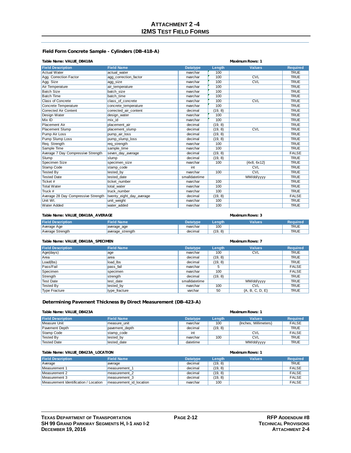### **ATTACHMENT 2 -4 I2MS TEST FIELD FORMS**

#### **Field Form Concrete Sample - Cylinders (DB-418-A)**

#### **Table Name: VALUE\_DB418A Maximum Rows: 1**

| <b>Field Description</b>            | <b>Field Name</b>        | <b>Datatype</b> | Length  | <b>Values</b> | <b>Required</b> |
|-------------------------------------|--------------------------|-----------------|---------|---------------|-----------------|
| Actual Water                        | actual water             | nvarchar        | 100     |               | <b>TRUE</b>     |
| Agg. Correction Factor              | agg_correction_factor    | nvarchar        | 100     | CVL           | <b>TRUE</b>     |
| Agg. Size                           | agg_size                 | nvarchar        | 100     | CVL           | <b>TRUE</b>     |
| Air Temperature                     | air temperature          | nvarchar        | 100     |               | <b>TRUE</b>     |
| <b>Batch Size</b>                   | batch size               | nvarchar        | 100     |               | <b>TRUE</b>     |
| <b>Batch Time</b>                   | batch time               | nvarchar        | 100     |               | <b>TRUE</b>     |
| Class of Concrete                   | class of concrete        | nvarchar        | 100     | CVL           | <b>TRUE</b>     |
| Concrete Temperature                | concrete_temperature     | nvarchar        | 100     |               | <b>TRUE</b>     |
| Corrected Air Content               | corrected air content    | decimal         | (19, 8) |               | <b>TRUE</b>     |
| Design Water                        | design water             | nvarchar        | 100     |               | <b>TRUE</b>     |
| Mix ID                              | mix id                   | nvarchar        | 100     |               | <b>TRUE</b>     |
| <b>Placement Air</b>                | placement air            | decimal         | (19, 8) |               | <b>TRUE</b>     |
| Placement Slump                     | placement slump          | decimal         | (19, 8) | CVL           | <b>TRUE</b>     |
| Pump Air Loss                       | pump air loss            | decimal         | (19, 8) |               | <b>TRUE</b>     |
| Pump Slump Loss                     | pump slump loss          | decimal         | (19, 8) |               | <b>TRUE</b>     |
| Req. Strength                       | reg strength             | nvarchar        | 100     |               | <b>TRUE</b>     |
| Sample Time                         | sample time              | nvarchar        | 100     |               | <b>TRUE</b>     |
| Average 7 Day Compressive Strength  | seven day average        | decimal         | (19, 8) |               | <b>FALSE</b>    |
| Slump                               | slump                    | decimal         | (19, 8) |               | <b>TRUE</b>     |
| Specimen Size                       | specimen size            | nvarchar        | 100     | ${4x8, 6x12}$ | <b>TRUE</b>     |
| Stamp Code                          | stamp code               | int             |         | <b>CVL</b>    | <b>TRUE</b>     |
| <b>Tested By</b>                    | tested by                | nvarchar        | 100     | CVL           | <b>TRUE</b>     |
| <b>Tested Date</b>                  | tested date              | smalldatetime   |         | MM/dd/yyyy    | <b>TRUE</b>     |
| Ticket #                            | ticket number            | nvarchar        | 100     |               | <b>TRUE</b>     |
| <b>Total Water</b>                  | total water              | nvarchar        | 100     |               | <b>TRUE</b>     |
| Truck #                             | truck number             | nvarchar        | 100     |               | <b>TRUE</b>     |
| Average 28 Day Compressive Strength | twenty_eight_day_average | decimal         | (19, 8) |               | <b>FALSE</b>    |
| Unit Wt.                            | unit_weight              | nvarchar        | 100     |               | <b>TRUE</b>     |
| <b>Water Added</b>                  | water added              | nvarchar        | 100     |               | <b>TRUE</b>     |
|                                     |                          |                 |         |               |                 |

#### **Table Name: VALUE\_DB418A\_AVERAGE Maximum Rows: 3**

| <b>Field Description</b> | Field Name       | Datatvpe | Lenath                      | Values | <b>Required</b> |
|--------------------------|------------------|----------|-----------------------------|--------|-----------------|
| Average Age              | average_age      | nvarchar | 100                         |        | TRU∟            |
| Average Strength         | average_strength | decimal  | 8)<br><b>110</b><br>$1 - 7$ |        |                 |

#### **Table Name: VALUE\_DB418A\_SPECIMEN Maximum Rows: 7**

| <b>Field Description</b> | <b>Field Name</b> | <b>Datatype</b> | Length  | <b>Values</b>     | <b>Required</b> |
|--------------------------|-------------------|-----------------|---------|-------------------|-----------------|
| Age(days)                | age               | nvarchar        | 100     | <b>CVL</b>        | <b>TRUE</b>     |
| Area                     | area              | decimal         | (19, 8) |                   | <b>TRUE</b>     |
| Load(lbs)                | load lbs          | decimal         | (19, 8) |                   | <b>TRUE</b>     |
| Pass/Fail                | pass fail         | nvarchar        | 5       |                   | <b>FALSE</b>    |
| Specimen                 | specimen          | nvarchar        | 100     |                   | <b>FALSE</b>    |
| Strength                 | strength          | decimal         | (19, 8) |                   | <b>TRUE</b>     |
| <b>Test Date</b>         | test date         | smalldatetime   |         | MM/dd/yyyy        | <b>TRUE</b>     |
| Tested By                | tested by         | nvarchar        | 100     | <b>CVL</b>        | <b>TRUE</b>     |
| Type Fracture            | type fracture     | varchar         | 50      | ${A, B, C, D, E}$ | <b>TRUE</b>     |

### **Determining Pavement Thickness By Direct Measurement (DB-423-A)**

#### **Table Name: VALUE\_DB423A Maximum Rows: 1**

| <b>Field Description</b> | <b>Field Name</b> | <b>Datatype</b> | Lenath  | <b>Values</b>         | <b>Required</b> |
|--------------------------|-------------------|-----------------|---------|-----------------------|-----------------|
| Measure Unit             | measure unit      | nvarchar        | 100     | {Inches. Millimeters} | <b>FALSE</b>    |
| Pavement Depth           | pavement depth    | decimal         | (19, 8) |                       | <b>TRUE</b>     |
| Stamp Code               | stamp code        | int             |         | <b>CVL</b>            | <b>FALSE</b>    |
| Tested By                | tested by         | nvarchar        | 100     | <b>CVL</b>            | <b>TRUE</b>     |
| Tested Date              | tested date       | datetime        |         | MM/dd/yyyy            | <b>TRUE</b>     |

| Table Name: VALUE_DB423A_LOCATION     |                         |                 | Maximum Rows: 1 |               |                 |
|---------------------------------------|-------------------------|-----------------|-----------------|---------------|-----------------|
| <b>Field Description</b>              | <b>Field Name</b>       | <b>Datatype</b> | <b>Lenath</b>   | <b>Values</b> | <b>Required</b> |
| Average                               | average                 | decimal         | (19, 8)         |               | <b>TRUE</b>     |
| Measurement 1                         | Imeasurement 1          | decimal         | (19, 8)         |               | <b>FALSE</b>    |
| Measurement 2                         | measurement 2           | decimal         | (19, 8)         |               | <b>FALSE</b>    |
| Measurement 3                         | measurement 3           | decimal         | (19, 8)         |               | <b>FALSE</b>    |
| Measurement Identification / Location | measurement id location | nvarchar        | 100             |               | <b>FALSE</b>    |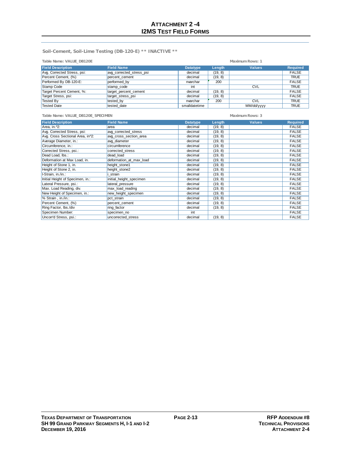**Soil-Cement, Soil-Lime Testing (DB-120-E) \*\* INACTIVE \*\***

| Table Name: VALUE_DB120E    |                          | Maximum Rows: 1 |         |               |                 |
|-----------------------------|--------------------------|-----------------|---------|---------------|-----------------|
| <b>Field Description</b>    | <b>Field Name</b>        | <b>Datatype</b> | Length  | <b>Values</b> | <b>Required</b> |
| Avg. Corrected Stress, psi: | avg corrected stress psi | decimal         | (19, 8) |               | <b>FALSE</b>    |
| Percent Cement, (%)         | percent cement           | decimal         | (19, 8) |               | <b>TRUE</b>     |
| Performed By DB-120-E:      | performed by             | nvarchar        | 200     |               | <b>FALSE</b>    |
| Stamp Code                  | stamp code               | int             |         | <b>CVL</b>    | <b>TRUE</b>     |
| Target Percent Cement, %:   | target percent cement    | decimal         | (19, 8) |               | <b>FALSE</b>    |
| Target Stress, psi:         | target_stress_psi        | decimal         | (19, 8) |               | <b>FALSE</b>    |
| Tested By                   | tested by                | nvarchar        | 200     | <b>CVL</b>    | <b>TRUE</b>     |
| <b>Tested Date</b>          | tested date              | smalldatetime   |         | MM/dd/vyyy    | <b>TRUE</b>     |

| Table Name: VALUE_DB120E_SPECIMEN            |                         | Maximum Rows: 3 |         |               |                 |  |
|----------------------------------------------|-------------------------|-----------------|---------|---------------|-----------------|--|
| <b>Field Description</b>                     | <b>Field Name</b>       | <b>Datatype</b> | Length  | <b>Values</b> | <b>Required</b> |  |
| Area, in. 2:                                 | area                    | decimal         | (19, 8) |               | <b>FALSE</b>    |  |
| Avg. Corrected Stress, psi:                  | avg_corrected_stress    | decimal         | (19, 8) |               | <b>FALSE</b>    |  |
| Avg. Cross Sectional Area, in <sup>2</sup> : | avg cross section area  | decimal         | (19, 8) |               | <b>FALSE</b>    |  |
| Average Diameter, in.:                       | avg diameter            | decimal         | (19, 8) |               | <b>FALSE</b>    |  |
| Circumference, in.:                          | circumference           | decimal         | (19, 8) |               | <b>FALSE</b>    |  |
| Corrected Stress, psi.:                      | corrected stress        | decimal         | (19, 8) |               | <b>FALSE</b>    |  |
| Dead Load, Ibs.:                             | dead load               | decimal         | (19, 8) |               | <b>FALSE</b>    |  |
| Deformation at Max Load, in.                 | deformation at max load | decimal         | (19, 8) |               | <b>FALSE</b>    |  |
| Height of Stone 1, in.                       | height_stone1           | decimal         | (19, 8) |               | <b>FALSE</b>    |  |
| Height of Stone 2, in.                       | height_stone2           | decimal         | (19, 8) |               | <b>FALSE</b>    |  |
| I-Strain, in./in.:                           | strain                  | decimal         | (19, 8) |               | <b>FALSE</b>    |  |
| Initial Height of Specimen, in.:             | initial_height_specimen | decimal         | (19, 8) |               | <b>FALSE</b>    |  |
| Lateral Pressure, psi.:                      | lateral_pressure        | decimal         | (19, 8) |               | <b>FALSE</b>    |  |
| Max. Load Reading, div.                      | max load reading        | decimal         | (19, 8) |               | <b>FALSE</b>    |  |
| New Height of Specimen, in.:                 | new height specimen     | decimal         | (19, 8) |               | <b>FALSE</b>    |  |
| % Strain, in./in.:                           | pct strain              | decimal         | (19, 8) |               | <b>FALSE</b>    |  |
| Percent Cement, (%)                          | percent_cement          | decimal         | (19, 8) |               | <b>FALSE</b>    |  |
| Ring Factor, Ibs./div                        | ring factor             | decimal         | (19, 8) |               | <b>FALSE</b>    |  |
| Specimen Number:                             | specimen no             | int             |         |               | <b>FALSE</b>    |  |
| Uncorr'd Stress, psi.:                       | uncorrected stress      | decimal         | (19, 8) |               | <b>FALSE</b>    |  |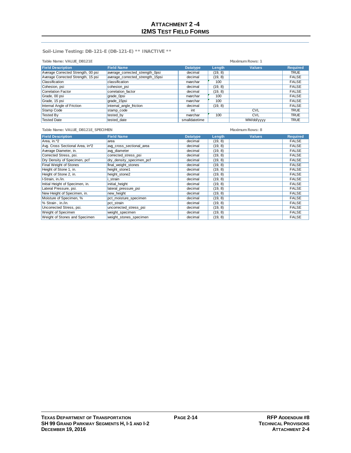**Soil-Lime Testing: DB-121-E (DB-121-E) \*\* INACTIVE \*\***

| Table Name: VALUE_DB121E<br>Maximum Rows: 1 |                                  |                 |         |               |                 |
|---------------------------------------------|----------------------------------|-----------------|---------|---------------|-----------------|
| <b>Field Description</b>                    | <b>Field Name</b>                | <b>Datatype</b> | Length  | <b>Values</b> | <b>Required</b> |
| Average Corrected Strength, 00 psi          | average_corrected_strength_0psi  | decimal         | (19, 8) |               | <b>TRUE</b>     |
| Average Corrected Strength, 15 psi          | average_corrected_strength_15psi | decimal         | (19, 8) |               | <b>FALSE</b>    |
| Classification                              | classification                   | nvarchar        | 100     |               | <b>FALSE</b>    |
| Cohesion, psi                               | cohesion psi                     | decimal         | (19, 8) |               | <b>FALSE</b>    |
| Correlation Factor                          | correlation factor               | decimal         | (19, 8) |               | <b>FALSE</b>    |
| Grade, 00 psi                               | grade_0psi                       | nvarchar        | 100     |               | <b>FALSE</b>    |
| Grade, 15 psi                               | grade 15psi                      | nvarchar        | 100     |               | <b>FALSE</b>    |
| Internal Angle of Friction                  | internal angle friction          | decimal         | (19, 8) |               | <b>FALSE</b>    |
| Stamp Code                                  | stamp code                       | int             |         | <b>CVL</b>    | <b>TRUE</b>     |
| <b>Tested By</b>                            | tested by                        | nvarchar        | 100     | <b>CVL</b>    | <b>TRUE</b>     |
| <b>Tested Date</b>                          | tested date                      | smalldatetime   |         | MM/dd/yyyy    | <b>TRUE</b>     |

**Table Name: VALUE\_DB121E\_SPECIMEN Maximum Rows: 8**

| <b>Field Description</b>                   | <b>Field Name</b>        | <b>Datatype</b> | Length  | <b>Values</b> | <b>Required</b> |
|--------------------------------------------|--------------------------|-----------------|---------|---------------|-----------------|
| Area, in. 12                               | area                     | decimal         | (19, 8) |               | <b>FALSE</b>    |
| Avg. Cross Sectional Area, in <sup>2</sup> | avg_cross_sectional_area | decimal         | (19, 8) |               | <b>FALSE</b>    |
| Average Diameter, in.                      | avg diameter             | decimal         | (19, 8) |               | <b>FALSE</b>    |
| Corrected Stress, psi.                     | corrected stress psi     | decimal         | (19, 8) |               | <b>FALSE</b>    |
| Dry Density of Specimen, pcf               | dry_density_specimen_pcf | decimal         | (19, 8) |               | <b>FALSE</b>    |
| Final Weight of Stones                     | final weight stones      | decimal         | (19, 8) |               | <b>FALSE</b>    |
| Height of Stone 1, in.                     | height_stone1            | decimal         | (19, 8) |               | <b>FALSE</b>    |
| Height of Stone 2, in.                     | height stone2            | decimal         | (19, 8) |               | <b>FALSE</b>    |
| I-Strain, in./in.                          | strain                   | decimal         | (19, 8) |               | <b>FALSE</b>    |
| Initial Height of Specimen, in.            | initial_height           | decimal         | (19, 8) |               | <b>FALSE</b>    |
| Lateral Pressure, psi.                     | lateral pressure psi     | decimal         | (19, 8) |               | <b>FALSE</b>    |
| New Height of Specimen, in.                | new height               | decimal         | (19, 8) |               | <b>FALSE</b>    |
| Moisture of Specimen, %                    | pct moisture specimen    | decimal         | (19, 8) |               | <b>FALSE</b>    |
| % Strain, in./in.                          | pct strain               | decimal         | (19, 8) |               | <b>FALSE</b>    |
| Uncorrected Stress, psi.                   | uncorrected stress psi   | decimal         | (19, 8) |               | <b>FALSE</b>    |
| <b>Weight of Specimen</b>                  | weight specimen          | decimal         | (19, 8) |               | <b>FALSE</b>    |
| Weight of Stones and Specimen              | weight_stones_specimen   | decimal         | (19, 8) |               | <b>FALSE</b>    |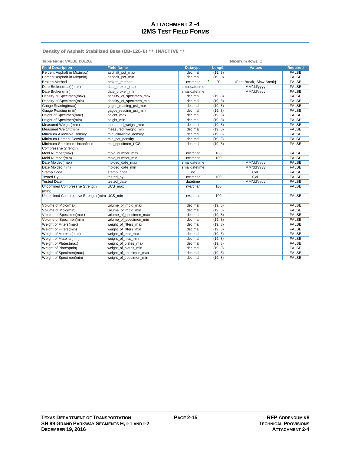**Density of Asphalt Stabilized Base (DB-126-E) \*\* INACTIVE \*\***

| Table Name: VALUE DB126E                      |                         |                 |         | Maximum Rows: 1          |                 |
|-----------------------------------------------|-------------------------|-----------------|---------|--------------------------|-----------------|
| <b>Field Description</b>                      | <b>Field Name</b>       | <b>Datatype</b> | Length  | <b>Values</b>            | <b>Required</b> |
| Percent Asphalt in Mix(max)                   | asphalt_pct_max         | decimal         | (19, 8) |                          | <b>FALSE</b>    |
| Percent Asphalt in Mix(min)                   | asphalt_pct_min         | decimal         | (19, 8) |                          | <b>FALSE</b>    |
| <b>Broken Method</b>                          | broken method           | nvarchar        | 20      | {Fast Break, Slow Break} | <b>FALSE</b>    |
| Date Broken(max)(max)                         | date broken max         | smalldatetime   |         | MM/dd/yyyy               | <b>FALSE</b>    |
| Date Broken(min)                              | date broken min         | smalldatetime   |         | MM/dd/yyyy               | <b>FALSE</b>    |
| Density of Specimen(max)                      | density_of_specimen_max | decimal         | (19, 8) |                          | <b>FALSE</b>    |
| Density of Specimen(min)                      | density of specimen min | decimal         | (19, 8) |                          | <b>FALSE</b>    |
| Gauge Reading(max)                            | gaque reading psi max   | decimal         | (19, 8) |                          | <b>FALSE</b>    |
| Gauge Reading (min)                           | gague_reading_psi_min   | decimal         | (19, 8) |                          | <b>FALSE</b>    |
| Height of Specimen(max)                       | height max              | decimal         | (19, 8) |                          | <b>FALSE</b>    |
| Height of Specimen(min)                       | height min              | decimal         | (19, 8) |                          | <b>FALSE</b>    |
| Measured Weight(max)                          | measured weight max     | decimal         | (19, 8) |                          | <b>FALSE</b>    |
| Measured Weight(min)                          | measured_weight_min     | decimal         | (19, 8) |                          | <b>FALSE</b>    |
| Minimum Allowable Density                     | min allowable density   | decimal         | (19, 8) |                          | <b>FALSE</b>    |
| Minimum Percent Density                       | min_pct_density         | decimal         | (19, 8) |                          | <b>FALSE</b>    |
| Minimum Specimen Unconfined                   | min specimen UCS        | decimal         | (19, 8) |                          | <b>FALSE</b>    |
| Compressive Strength                          |                         |                 |         |                          |                 |
| Mold Number(max)                              | mold number max         | nvarchar        | 100     |                          | <b>FALSE</b>    |
| Mold Number(min)                              | mold number min         | nvarchar        | 100     |                          | <b>FALSE</b>    |
| Date Molded(max)                              | molded date max         | smalldatetime   |         | MM/dd/yyyy               | <b>FALSE</b>    |
| Date Molded(min)                              | molded date min         | smalldatetime   |         | MM/dd/yyyy               | <b>FALSE</b>    |
| <b>Stamp Code</b>                             | stamp code              | int             |         | <b>CVL</b>               | <b>FALSE</b>    |
| <b>Tested By</b>                              | tested by               | nvarchar        | 100     | CVL                      | <b>FALSE</b>    |
| <b>Tested Date</b>                            | tested date             | datetime        |         | MM/dd/yyyy               | <b>FALSE</b>    |
| <b>Unconfined Compressive Strength</b>        | UCS max                 | nvarchar        | 100     |                          | <b>FALSE</b>    |
| (max)                                         |                         |                 |         |                          |                 |
| Unconfined Compressive Strength (min) UCS min |                         | nvarchar        | 100     |                          | <b>FALSE</b>    |
| Volume of Mold(max)                           | volume of mold max      | decimal         | (19, 8) |                          | <b>FALSE</b>    |
| Volume of Mold(min)                           | volume of mold min      | decimal         | (19, 8) |                          | <b>FALSE</b>    |
| Volume of Specimen(max)                       | volume of specimen max  | decimal         | (19, 8) |                          | <b>FALSE</b>    |
| Volume of Specimen(min)                       | volume of specimen min  | decimal         | (19, 8) |                          | <b>FALSE</b>    |
| Weight of Filters(max)                        | weight of filters max   | decimal         | (19, 8) |                          | <b>FALSE</b>    |
| Weight of Filters(min)                        | weight of filters min   | decimal         | (19, 8) |                          | <b>FALSE</b>    |
| Weight of Material(max)                       | weight_of_mat_max       | decimal         | (19, 8) |                          | <b>FALSE</b>    |
| Weight of Material(min)                       | weight of mat min       | decimal         | (19, 8) |                          | <b>FALSE</b>    |
| Weight of Plates(max)                         | weight of plates max    | decimal         | (19, 8) |                          | <b>FALSE</b>    |
| Weight of Plates(min)                         | weight of plates min    | decimal         | (19, 8) |                          | <b>FALSE</b>    |
| Weight of Specimen(max)                       | weight_of_specimen_max  | decimal         | (19, 8) |                          | <b>FALSE</b>    |
| Weight of Specimen(min)                       | weight of specimen min  | decimal         | (19, 8) |                          | <b>FALSE</b>    |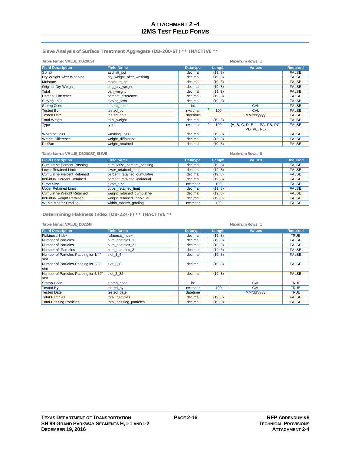**Sieve Analysis of Surface Treatment Aggregate (DB-200-ST) \*\* INACTIVE \*\***

| Table Name: VALUE_DB200ST |                          |                 |         | Maximum Rows: 1                |                 |
|---------------------------|--------------------------|-----------------|---------|--------------------------------|-----------------|
| <b>Field Description</b>  | <b>Field Name</b>        | <b>Datatype</b> | Length  | <b>Values</b>                  | <b>Required</b> |
| Sphalt                    | asphalt_pct              | decimal         | (19, 8) |                                | <b>FALSE</b>    |
| Dry Weight After Washing  | dry weight after washing | decimal         | (19, 8) |                                | <b>FALSE</b>    |
| Moisture                  | moisture_pct             | decimal         | (19, 8) |                                | <b>FALSE</b>    |
| Original Dry Weight       | orig_dry_weight          | decimal         | (19, 8) |                                | <b>FALSE</b>    |
| Total                     | pan weight               | decimal         | (19, 8) |                                | <b>FALSE</b>    |
| <b>Percent Difference</b> | percent difference       | decimal         | (19, 8) |                                | <b>FALSE</b>    |
| Sieving Loss              | sieving_loss             | decimal         | (19, 8) |                                | <b>FALSE</b>    |
| Stamp Code                | stamp_code               | int             |         | <b>CVL</b>                     | <b>FALSE</b>    |
| <b>Tested By</b>          | tested by                | nvarchar        | 100     | <b>CVL</b>                     | <b>FALSE</b>    |
| <b>Tested Date</b>        | tested date              | datetime        |         | MM/dd/yyyy                     | <b>FALSE</b>    |
| <b>Total Weight</b>       | total_weight             | decimal         | (19, 8) |                                | <b>FALSE</b>    |
| Type                      | type                     | nvarchar        | 100     | {A, B, C, D, E, L, PA, PB, PC, | <b>FALSE</b>    |
|                           |                          |                 |         | PD, PE, PL}                    |                 |
| <b>Washing Loss</b>       | washing_loss             | decimal         | (19, 8) |                                | <b>FALSE</b>    |
| <b>Weight Difference</b>  | weight difference        | decimal         | (19, 8) |                                | <b>FALSE</b>    |
| PrePan                    | weight retained          | decimal         | (19, 8) |                                | <b>FALSE</b>    |

| Table Name: VALUE DB200ST SIEVE |                             | Maximum Rows: 8 |         |               |                 |
|---------------------------------|-----------------------------|-----------------|---------|---------------|-----------------|
| <b>Field Description</b>        | <b>Field Name</b>           | <b>Datatype</b> | Length  | <b>Values</b> | <b>Required</b> |
| Cumulative Percent Passing      | cumulative_percent_passing  | decimal         | (19, 8) |               | <b>FALSE</b>    |
| Lower Retained Limit            | lower retained limit        | decimal         | (19, 8) |               | <b>FALSE</b>    |
| Cumulative Percent Retained     | percent retained cumulative | decimal         | (19, 8) |               | <b>FALSE</b>    |
| Individual Percent Retained     | percent retained individual | decimal         | (19, 8) |               | <b>FALSE</b>    |
| Sieve Size                      | sieve size                  | nvarchar        | 100     |               | <b>FALSE</b>    |
| Upper Retained Limit            | upper retained limit        | decimal         | (19, 8) |               | <b>FALSE</b>    |
| Cumulative Weight Retained      | weight retained cumulative  | decimal         | (19, 8) |               | <b>FALSE</b>    |
| Individual weight Retained      | weight retained individual  | decimal         | (19, 8) |               | <b>FALSE</b>    |
| Within Master Grading           | within master grading       | nvarchar        | 100     |               | <b>FALSE</b>    |

**Determining Flakiness Index (DB-224-F) \*\* INACTIVE \*\***

**Table Name: VALUE\_DB224F Maximum Rows: 1**

| <b>Field Description</b>              | <b>Field Name</b>       | <b>Datatype</b> | Length  | <b>Values</b> | <b>Required</b> |
|---------------------------------------|-------------------------|-----------------|---------|---------------|-----------------|
| <b>Flakiness Index</b>                | flakiness index         | decimal         | (19, 8) |               | <b>TRUE</b>     |
| Number of Particles                   | num particles 1         | decimal         | (19, 8) |               | <b>FALSE</b>    |
| Number of Particles                   | num particles 2         | decimal         | (19, 8) |               | <b>FALSE</b>    |
| Number of Particles                   | num particles 3         | decimal         | (19, 8) |               | <b>FALSE</b>    |
| Number of Particles Passing for 1/4"  | slot 1 4                | decimal         | (19, 8) |               | <b>FALSE</b>    |
| slot                                  |                         |                 |         |               |                 |
| Number of Particles Passing for 3/8"  | slot 38                 | decimal         | (19, 8) |               | <b>FALSE</b>    |
| slot                                  |                         |                 |         |               |                 |
| Number of Particles Passing for 5/32" | slot 5 32               | decimal         | (19, 8) |               | <b>FALSE</b>    |
| <b>Islot</b>                          |                         |                 |         |               |                 |
| Stamp Code                            | stamp_code              | int             |         | <b>CVL</b>    | <b>TRUE</b>     |
| <b>Tested By</b>                      | tested by               | nvarchar        | 100     | <b>CVL</b>    | <b>TRUE</b>     |
| <b>Tested Date</b>                    | tested date             | datetime        |         | MM/dd/yyyy    | <b>TRUE</b>     |
| <b>Total Particles</b>                | total particles         | decimal         | (19, 8) |               | <b>FALSE</b>    |
| <b>Total Passing Particles</b>        | total passing particles | decimal         | (19, 8) |               | <b>FALSE</b>    |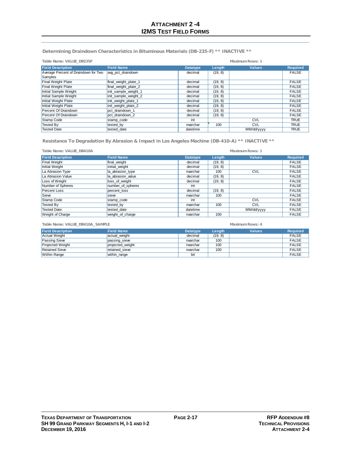**Determining Draindown Characteristics in Bituminous Materials (DB-235-F) \*\* INACTIVE \*\***

| Table Name: VALUE DB235F             |                      |                 | Maximum Rows: 1 |               |                 |  |
|--------------------------------------|----------------------|-----------------|-----------------|---------------|-----------------|--|
| <b>Field Description</b>             | <b>Field Name</b>    | <b>Datatype</b> | Length          | <b>Values</b> | <b>Required</b> |  |
| Average Percent of Draindown for Two | avg pct draindown    | decimal         | (19, 8)         |               | <b>FALSE</b>    |  |
| Samples                              |                      |                 |                 |               |                 |  |
| Final Weight Plate                   | final weight plate 1 | decimal         | (19, 8)         |               | <b>FALSE</b>    |  |
| <b>Final Weight Plate</b>            | final_weight_plate_2 | decimal         | (19, 8)         |               | <b>FALSE</b>    |  |
| Initial Sample Weight                | init sample weight 1 | decimal         | (19, 8)         |               | <b>FALSE</b>    |  |
| Initial Sample Weight                | init sample weight 2 | decimal         | (19, 8)         |               | <b>FALSE</b>    |  |
| Initial Weight Plate                 | init weight plate 1  | decimal         | (19, 8)         |               | <b>FALSE</b>    |  |
| Initial Weight Plate                 | init_weight_plate_2  | decimal         | (19, 8)         |               | <b>FALSE</b>    |  |
| Percent Of Draindown                 | pct draindown 1      | decimal         | (19, 8)         |               | <b>FALSE</b>    |  |
| <b>Percent Of Draindown</b>          | pct draindown 2      | decimal         | (19, 8)         |               | <b>FALSE</b>    |  |
| Stamp Code                           | stamp code           | int             |                 | <b>CVL</b>    | <b>TRUE</b>     |  |
| <b>Tested By</b>                     | tested by            | nvarchar        | 100             | <b>CVL</b>    | <b>TRUE</b>     |  |
| <b>Tested Date</b>                   | tested date          | datetime        |                 | MM/dd/yyyy    | <b>TRUE</b>     |  |

**Resistance To Degradation By Abrasion & Impact in Los Angeles Machine (DB-410-A) \*\* INACTIVE \*\***

| Table Name: VALUE DB410A |                   |                 |         | Maximum Rows: 1 |                 |
|--------------------------|-------------------|-----------------|---------|-----------------|-----------------|
| <b>Field Description</b> | <b>Field Name</b> | <b>Datatype</b> | Length  | <b>Values</b>   | <b>Required</b> |
| <b>Final Weight</b>      | final weight      | decimal         | (19, 8) |                 | <b>FALSE</b>    |
| Initial Weight           | initial weight    | decimal         | (19, 8) |                 | <b>FALSE</b>    |
| La Abrasion Type         | la abrasion type  | nvarchar        | 100     | <b>CVL</b>      | <b>FALSE</b>    |
| La Abrasion Value        | la abrasion value | decimal         | (19, 8) |                 | <b>FALSE</b>    |
| Loss of Weight           | loss_of_weight    | decimal         | (19, 8) |                 | <b>FALSE</b>    |
| Number of Spheres        | number_of_spheres | int             |         |                 | <b>FALSE</b>    |
| <b>Percent Loss</b>      | percent loss      | decimal         | (19, 8) |                 | <b>FALSE</b>    |
| Sieve                    | sieve             | nvarchar        | 100     |                 | <b>FALSE</b>    |
| Stamp Code               | stamp code        | int             |         | <b>CVL</b>      | <b>FALSE</b>    |
| <b>Tested By</b>         | tested by         | nvarchar        | 100     | <b>CVL</b>      | <b>FALSE</b>    |
| <b>Tested Date</b>       | tested date       | datetime        |         | MM/dd/yyyy      | <b>FALSE</b>    |
| <b>Weight of Charge</b>  | weight of charge  | nvarchar        | 100     |                 | <b>FALSE</b>    |

**Table Name: VALUE\_DB410A\_SAMPLE Maximum Rows: 4**

**Field Description**<br> **Field Description**<br> **FALSE**<br> **Passing Sieve Passing Sieve Passing Sieve Passing Sieve Passing Sieve Passing Sieve Passing Sieve Passing Sieve Passing Sieve Passing Sieve Passing Si** Actual Weight |actual\_weight decimal | (19, 8) | FALSE Passing Sieve **passing\_sieve environment invarchar 100** FALSE Projected Weight **projected\_weight projected\_weight** nvarchar 100 FALSE<br>
Retained Sieve **projected\_weight** nvarchar 100 FALSE<br>
Retained Sieve retained sieve nvarchar 100 FALSE Retained Sieve |retained\_sieve nvarchar | 100 | | FALSE Within Range within\_range with the bit FALSE bit Research of the FALSE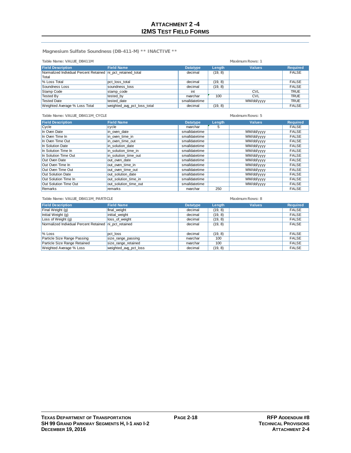**Magnesium Sulfate Soundness (DB-411-M) \*\* INACTIVE \*\***

| Table Name: VALUE DB411M<br>Maximum Rows: 1                  |                             |                 |         |               |                 |
|--------------------------------------------------------------|-----------------------------|-----------------|---------|---------------|-----------------|
| <b>Field Description</b>                                     | <b>Field Name</b>           | <b>Datatype</b> | Length  | <b>Values</b> | <b>Required</b> |
| Normalized Individual Percent Retained ni pct retained total |                             | decimal         | (19, 8) |               | <b>FALSE</b>    |
| <b>Total</b>                                                 |                             |                 |         |               |                 |
| % Loss Total                                                 | pct loss total              | decimal         | (19, 8) |               | <b>FALSE</b>    |
| Soundness Loss                                               | soundness loss              | decimal         | (19, 8) |               | <b>FALSE</b>    |
| Stamp Code                                                   | stamp code                  | int             |         | <b>CVL</b>    | <b>TRUE</b>     |
| Tested By                                                    | tested by                   | nvarchar        | 100     | <b>CVL</b>    | <b>TRUE</b>     |
| <b>Tested Date</b>                                           | tested date                 | smalldatetime   |         | MM/dd/yyyy    | <b>TRUE</b>     |
| Weighted Average % Loss Total                                | weighted avg pct loss total | decimal         | (19, 8) |               | <b>FALSE</b>    |

| Table Name: VALUE_DB411M_CYCLE |                       |                 |        | Maximum Rows: 5 |                 |
|--------------------------------|-----------------------|-----------------|--------|-----------------|-----------------|
| <b>Field Description</b>       | <b>Field Name</b>     | <b>Datatype</b> | Length | <b>Values</b>   | <b>Required</b> |
| Cycle                          | Icycle                | nvarchar        | 5      |                 | <b>FALSE</b>    |
| In Oven Date                   | in oven date          | smalldatetime   |        | MM/dd/yyyy      | <b>FALSE</b>    |
| In Oven Time In                | in oven time in       | smalldatetime   |        | MM/dd/yyyy      | <b>FALSE</b>    |
| In Oven Time Out               | in oven time out      | smalldatetime   |        | MM/dd/yyyy      | <b>FALSE</b>    |
| In Solution Date               | in solution date      | smalldatetime   |        | MM/dd/yyyy      | <b>FALSE</b>    |
| In Solution Time In            | in solution time in   | smalldatetime   |        | MM/dd/yyyy      | <b>FALSE</b>    |
| In Solution Time Out           | in solution time out  | smalldatetime   |        | MM/dd/yyyy      | <b>FALSE</b>    |
| Out Oven Date                  | out oven date         | smalldatetime   |        | MM/dd/yyyy      | <b>FALSE</b>    |
| Out Oven Time In               | out oven time in      | smalldatetime   |        | MM/dd/yyyy      | <b>FALSE</b>    |
| Out Oven Time Out              | out oven time out     | smalldatetime   |        | MM/dd/yyyy      | <b>FALSE</b>    |
| Out Solution Date              | out solution date     | smalldatetime   |        | MM/dd/yyyy      | <b>FALSE</b>    |
| Out Solution Time In           | out solution time in  | smalldatetime   |        | MM/dd/yyyy      | <b>FALSE</b>    |
| Out Solution Time Out          | out solution time out | smalldatetime   |        | MM/dd/yyyy      | <b>FALSE</b>    |
| Remarks                        | remarks               | nvarchar        | 250    |                 | <b>FALSE</b>    |

| Table Name: VALUE_DB411M_PARTICLE                      |                       | Maximum Rows: 8 |         |               |                 |
|--------------------------------------------------------|-----------------------|-----------------|---------|---------------|-----------------|
| <b>Field Description</b>                               | <b>Field Name</b>     | <b>Datatype</b> | Length  | <b>Values</b> | <b>Required</b> |
| Final Weight (g)                                       | final weight          | decimal         | (19, 8) |               | <b>FALSE</b>    |
| Initial Weight (g)                                     | initial weight        | decimal         | (19, 8) |               | <b>FALSE</b>    |
| Loss of Weight (g)                                     | loss of weight        | decimal         | (19, 8) |               | <b>FALSE</b>    |
| Normalized Individual Percent Retained ni pct retained |                       | decimal         | (19, 8) |               | <b>FALSE</b>    |
| % Loss                                                 | pct loss              | decimal         | (19, 8) |               | <b>FALSE</b>    |
| Particle Size Range Passing                            | size_range_passing    | nvarchar        | 100     |               | <b>FALSE</b>    |
| Particle Size Range Retained                           | size range retained   | nvarchar        | 100     |               | <b>FALSE</b>    |
| Weighted Average % Loss                                | weighted avg pct loss | decimal         | (19, 8) |               | <b>FALSE</b>    |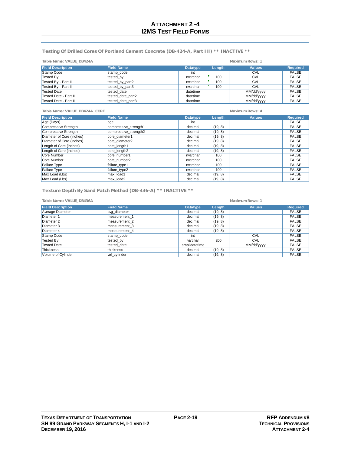**Testing Of Drilled Cores Of Portland Cement Concrete (DB-424-A, Part III) \*\* INACTIVE \*\***

| Table Name: VALUE DB424A | Maximum Rows: 1   |                 |        |               |                 |
|--------------------------|-------------------|-----------------|--------|---------------|-----------------|
| <b>Field Description</b> | <b>Field Name</b> | <b>Datatype</b> | Length | <b>Values</b> | <b>Required</b> |
| Stamp Code               | stamp code        | int             |        | <b>CVL</b>    | <b>FALSE</b>    |
| <b>Tested By</b>         | tested by         | nvarchar        | 100    | <b>CVL</b>    | <b>FALSE</b>    |
| Tested By - Part II      | tested by part2   | nvarchar        | 100    | <b>CVL</b>    | <b>FALSE</b>    |
| Tested By - Part III     | tested by part3   | nvarchar        | 100    | <b>CVL</b>    | <b>FALSE</b>    |
| <b>Tested Date</b>       | tested date       | datetime        |        | MM/dd/yyyy    | <b>FALSE</b>    |
| Tested Date - Part II    | tested date part2 | datetime        |        | MM/dd/yyyy    | <b>FALSE</b>    |
| Tested Date - Part III   | tested date part3 | datetime        |        | MM/dd/yyyy    | <b>FALSE</b>    |

**Field Description Field Name Datatype Length Values Required** Age (Days) age int FALSE Compressive Strength compressive\_strength1 decimal (19, 8) FALSE<br>
Compressive Strength compressive\_strength2 decimal (19, 8) FALSE compressive\_strength2 decimal (19, 8) FALSE<br>
core\_diameter1 decimal (19, 8) FALSE Diameter of Core (inches) core\_diameter1 decimal (19, 8) FALSE<br>
Diameter of Core (inches) core\_diameter2 decimal (19, 8) FALSE Diameter of Core (inches) core\_diameter2 decimal (19, 8) Length of Core (inches) core\_length1 decimal (19, 8) FALSE Length of Core (inches) core\_length2 decimal (19, 8) FALSE Core Number core\_number1 nvarchar | 100 | more core\_number1 nvarchar | 100 | TALSE Core Number core\_number2 nvarchar | 100 | nvarchar | 100 | FALSE Failure Type |failure\_type1 nvarchar | 100 | | FALSE Failure Type |failure\_type2 nvarchar | 100 | | FALSE Max Load (Lbs) |max\_load1 decimal | (19, 8) | FALSE Max Load (Lbs) |max\_load2 decimal | (19, 8) | FALSE **Table Name: VALUE\_DB424A\_CORE Maximum Rows: 4**

**Texture Depth By Sand Patch Method (DB-436-A) \*\* INACTIVE \*\***

| Table Name: VALUE_DB436A |                   | Maximum Rows: 1 |         |               |                 |
|--------------------------|-------------------|-----------------|---------|---------------|-----------------|
| <b>Field Description</b> | <b>Field Name</b> | <b>Datatype</b> | Length  | <b>Values</b> | <b>Required</b> |
| Average Diameter         | avg diameter      | decimal         | (19, 8) |               | <b>FALSE</b>    |
| Diameter 1               | measurement 1     | decimal         | (19, 8) |               | <b>FALSE</b>    |
| Diameter 2               | measurement 2     | decimal         | (19, 8) |               | <b>FALSE</b>    |
| Diameter 3               | measurement 3     | decimal         | (19, 8) |               | <b>FALSE</b>    |
| Diameter 4               | measurement 4     | decimal         | (19, 8) |               | <b>FALSE</b>    |
| Stamp Code               | stamp_code        | int             |         | <b>CVL</b>    | <b>FALSE</b>    |
| Tested By                | tested by         | varchar         | 200     | <b>CVL</b>    | <b>FALSE</b>    |
| <b>Tested Date</b>       | tested date       | smalldatetime   |         | MM/dd/yyyy    | <b>FALSE</b>    |
| <b>Thickness</b>         | thickness         | decimal         | (19, 8) |               | <b>FALSE</b>    |
| Volume of Cylinder       | vol cylinder      | decimal         | (19, 8) |               | <b>FALSE</b>    |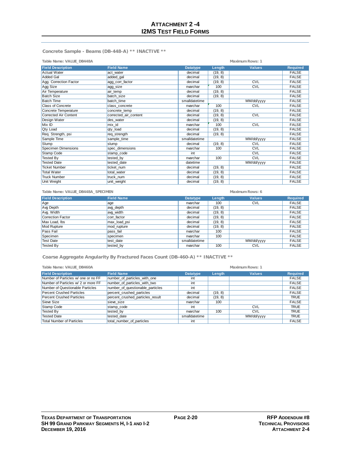**Concrete Sample - Beams (DB-448-A) \*\* INACTIVE \*\***

| Table Name: VALUE_DB448A |                       |                 | Maximum Rows: 1 |               |                 |  |
|--------------------------|-----------------------|-----------------|-----------------|---------------|-----------------|--|
| <b>Field Description</b> | <b>Field Name</b>     | <b>Datatype</b> | Length          | <b>Values</b> | <b>Required</b> |  |
| <b>Actual Water</b>      | act water             | decimal         | (19, 8)         |               | <b>FALSE</b>    |  |
| Added Gal                | added_gal             | decimal         | (19, 8)         |               | <b>FALSE</b>    |  |
| Agg. Correction Factor   | agg corr factor       | decimal         | (19, 8)         | <b>CVL</b>    | <b>FALSE</b>    |  |
| Agg Size                 | agg_size              | nvarchar        | 100             | <b>CVL</b>    | <b>FALSE</b>    |  |
| Air Temperature          | air temp              | decimal         | (19, 8)         |               | <b>FALSE</b>    |  |
| <b>Batch Size</b>        | batch size            | decimal         | (19, 8)         |               | <b>FALSE</b>    |  |
| <b>Batch Time</b>        | batch time            | smalldatetime   |                 | MM/dd/yyyy    | <b>FALSE</b>    |  |
| <b>Class of Concrete</b> | class concrete        | nvarchar        | 100             | <b>CVL</b>    | <b>FALSE</b>    |  |
| Concrete Temperature     | concrete temp         | decimal         | (19, 8)         |               | <b>FALSE</b>    |  |
| Corrected Air Content    | corrected air content | decimal         | (19, 8)         | <b>CVL</b>    | <b>FALSE</b>    |  |
| Design Water             | des water             | decimal         | (19, 8)         |               | <b>FALSE</b>    |  |
| Mix ID                   | mix_id                | nvarchar        | 100             | <b>CVL</b>    | <b>FALSE</b>    |  |
| <b>Qty Load</b>          | qty_load              | decimal         | (19, 8)         |               | <b>FALSE</b>    |  |
| Req. Strength, psi       | req_strength          | decimal         | (19, 8)         |               | <b>FALSE</b>    |  |
| Sample Time              | sample_time           | smalldatetime   |                 | MM/dd/yyyy    | <b>FALSE</b>    |  |
| Slump                    | slump                 | decimal         | (19, 8)         | <b>CVL</b>    | <b>FALSE</b>    |  |
| Specimen Dimensions      | spec dimensions       | nvarchar        | 100             | <b>CVL</b>    | <b>FALSE</b>    |  |
| Stamp Code               | stamp_code            | int             |                 | <b>CVL</b>    | <b>FALSE</b>    |  |
| <b>Tested By</b>         | tested_by             | nvarchar        | 100             | <b>CVL</b>    | <b>FALSE</b>    |  |
| <b>Tested Date</b>       | tested date           | datetime        |                 | MM/dd/yyyy    | <b>FALSE</b>    |  |
| <b>Ticket Number</b>     | ticket num            | decimal         | (19, 8)         |               | <b>FALSE</b>    |  |
| <b>Total Water</b>       | total water           | decimal         | (19, 8)         |               | <b>FALSE</b>    |  |
| <b>Truck Number</b>      | truck num             | decimal         | (19, 8)         |               | <b>FALSE</b>    |  |
| Unit Weight              | unit_weight           | decimal         | (19, 8)         |               | <b>FALSE</b>    |  |

| Table Name: VALUE_DB448A_SPECIMEN |                   | Maximum Rows: 6 |         |               |                 |
|-----------------------------------|-------------------|-----------------|---------|---------------|-----------------|
| <b>Field Description</b>          | <b>Field Name</b> | <b>Datatype</b> | Length  | <b>Values</b> | <b>Required</b> |
| Age                               | age               | nvarchar        | 100     | <b>CVL</b>    | <b>FALSE</b>    |
| Avg Depth                         | avg depth         | decimal         | (19, 8) |               | <b>FALSE</b>    |
| Avg. Width                        | avg width         | decimal         | (19, 8) |               | <b>FALSE</b>    |
| Correction Factor                 | corr factor       | decimal         | (19, 8) |               | <b>FALSE</b>    |
| Max Load, lbs                     | max_load_psi      | decimal         | (19, 8) |               | <b>FALSE</b>    |
| Mod Rupture                       | mod rupture       | decimal         | (19, 8) |               | <b>FALSE</b>    |
| Pass Fail                         | pass fail         | nvarchar        | 100     |               | <b>FALSE</b>    |
| Specimen                          | specimen          | nvarchar        | 100     |               | <b>FALSE</b>    |
| <b>Test Date</b>                  | test date         | smalldatetime   |         | MM/dd/yyyy    | <b>FALSE</b>    |
| <b>Tested By</b>                  | tested by         | nvarchar        | 100     | <b>CVL</b>    | <b>FALSE</b>    |

**Coarse Aggregate Angularity By Fractured Faces Count (DB-460-A) \*\* INACTIVE \*\***

| Table Name: VALUE_DB460A            | Maximum Rows: 1                  |                 |         |               |                 |
|-------------------------------------|----------------------------------|-----------------|---------|---------------|-----------------|
| <b>Field Description</b>            | <b>Field Name</b>                | <b>Datatype</b> | Length  | <b>Values</b> | <b>Required</b> |
| Number of Particles w/ one or no FF | number of particles with one     | int             |         |               | <b>FALSE</b>    |
| Number of Particles w/ 2 or more FF | number of particles with two     | int             |         |               | <b>FALSE</b>    |
| Number of Questionable Particles    | number of questionable particles | int             |         |               | <b>FALSE</b>    |
| <b>Percent Crushed Particles</b>    | percent crushed particles        | decimal         | (19, 8) |               | <b>FALSE</b>    |
| <b>Percent Crushed Particles</b>    | percent crushed particles result | decimal         | (19, 8) |               | <b>TRUE</b>     |
| Sieve Size                          | sieve size                       | nvarchar        | 100     |               | <b>FALSE</b>    |
| Stamp Code                          | stamp code                       | int             |         | <b>CVL</b>    | <b>TRUE</b>     |
| <b>Tested By</b>                    | tested by                        | nvarchar        | 100     | <b>CVL</b>    | <b>TRUE</b>     |
| <b>Tested Date</b>                  | tested date                      | smalldatetime   |         | MM/dd/yyyy    | <b>TRUE</b>     |
| <b>Total Number of Particles</b>    | total number of particles        | int             |         |               | <b>FALSE</b>    |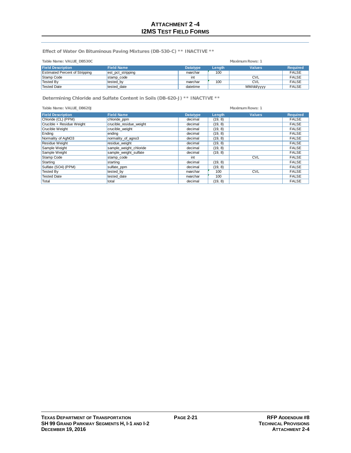**Effect of Water On Bituminous Paving Mixtures (DB-530-C) \*\* INACTIVE \*\***

| Table Name: VALUE_DB530C              |                   | Maximum Rows: 1 |               |               |                 |
|---------------------------------------|-------------------|-----------------|---------------|---------------|-----------------|
| <b>Field Description</b>              | <b>Field Name</b> | <b>Datatype</b> | <b>Lenath</b> | <b>Values</b> | <b>Required</b> |
| <b>Estimated Percent of Stripping</b> | est_pct_stripping | nvarchar        | 100           |               | <b>FALSE</b>    |
| Stamp Code                            | stamp code        | int             |               | <b>CVL</b>    | <b>FALSE</b>    |
| Tested By                             | tested by         | nvarchar        | 100           | <b>CVL</b>    | <b>FALSE</b>    |
| Tested Date                           | tested date       | datetime        |               | MM/dd/yyyy    | <b>FALSE</b>    |

**Determining Chloride and Sulfate Content in Soils (DB-620-J) \*\* INACTIVE \*\***

| Table Name: VALUE DB620J  | Maximum Rows: 1         |                 |         |               |                 |
|---------------------------|-------------------------|-----------------|---------|---------------|-----------------|
| <b>Field Description</b>  | <b>Field Name</b>       | <b>Datatype</b> | Length  | <b>Values</b> | <b>Required</b> |
| Chloride (CL) (PPM)       | chloride_ppm            | decimal         | (19, 8) |               | <b>FALSE</b>    |
| Crucible + Residue Weight | crucible residue weight | decimal         | (19, 8) |               | <b>FALSE</b>    |
| Crucible Weight           | crucible weight         | decimal         | (19, 8) |               | <b>FALSE</b>    |
| Ending                    | ending                  | decimal         | (19, 8) |               | <b>FALSE</b>    |
| Normality of AgNO3        | normality_of_agno3      | decimal         | (19, 8) |               | <b>FALSE</b>    |
| <b>Residue Weight</b>     | residue weight          | decimal         | (19, 8) |               | <b>FALSE</b>    |
| Sample Weight             | sample_weight_chloride  | decimal         | (19, 8) |               | <b>FALSE</b>    |
| Sample Weight             | sample weight sulfate   | decimal         | (19, 8) |               | <b>FALSE</b>    |
| Stamp Code                | stamp code              | int             |         | <b>CVL</b>    | <b>FALSE</b>    |
| Starting                  | starting                | decimal         | (19, 8) |               | <b>FALSE</b>    |
| Sulfate (SO4) (PPM)       | sulfate_ppm             | decimal         | (19, 8) |               | <b>FALSE</b>    |
| <b>Tested By</b>          | tested by               | nvarchar        | 100     | <b>CVL</b>    | <b>FALSE</b>    |
| <b>Tested Date</b>        | tested date             | nvarchar        | 100     |               | <b>FALSE</b>    |
| Total                     | total                   | decimal         | (19, 8) |               | <b>FALSE</b>    |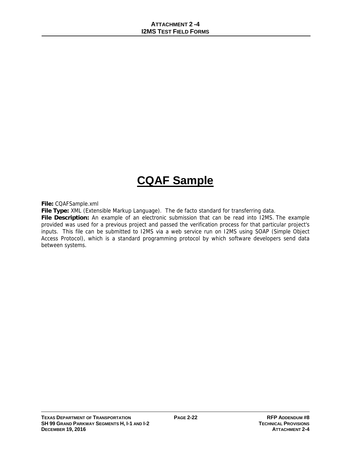## **CQAF Sample**

**File:** CQAFSample.xml

**File Type:** XML (Extensible Markup Language). The de facto standard for transferring data.

**File Description:** An example of an electronic submission that can be read into I2MS. The example provided was used for a previous project and passed the verification process for that particular project's inputs. This file can be submitted to I2MS via a web service run on I2MS using SOAP (Simple Object Access Protocol), which is a standard programming protocol by which software developers send data between systems.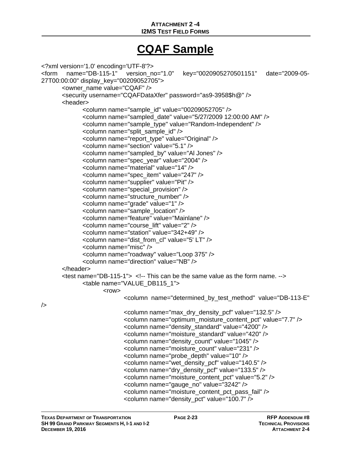### **ATTACHMENT 2 -4 I2MS TEST FIELD FORMS**

## **CQAF Sample**

```
<?xml version='1.0' encoding='UTF-8'?> 
<form name="DB-115-1" version_no="1.0" key="0020905270501151" date="2009-05-
27T00:00:00" display_key="00209052705"> 
       <owner_name value="CQAF" />
        <security username="CQAFDataXfer" password="as9-3958$h@" /> 
        <header> 
               <column name="sample_id" value="00209052705" /> 
               <column name="sampled_date" value="5/27/2009 12:00:00 AM" /> 
               <column name="sample_type" value="Random-Independent" /> 
               <column name="split_sample_id" /> 
               <column name="report_type" value="Original" /> 
               <column name="section" value="5.1" /> 
               <column name="sampled_by" value="Al Jones" /> 
               <column name="spec_year" value="2004" /> 
               <column name="material" value="14" /> 
               <column name="spec_item" value="247" /> 
               <column name="supplier" value="Pit" /> 
               <column name="special_provision" /> 
               <column name="structure_number" /> 
               <column name="grade" value="1" /> 
               <column name="sample_location" /> 
               <column name="feature" value="Mainlane" /> 
               <column name="course_lift" value="2" /> 
               <column name="station" value="342+49" /> 
               <column name="dist_from_cl" value="5' LT" /> 
               <column name="misc" /> 
               <column name="roadway" value="Loop 375" /> 
               <column name="direction" value="NB" /> 
        </header> 
       \epsilon -test name="DB-115-1"> \epsilon!-- This can be the same value as the form name. \epsilon->
               <table name="VALUE_DB115_1"> 
                     <row> <column name="determined_by_test_method" value="DB-113-E" 
/> 
                             <column name="max_dry_density_pcf" value="132.5" /> 
                             <column name="optimum_moisture_content_pct" value="7.7" /> 
                             <column name="density_standard" value="4200" /> 
                             <column name="moisture_standard" value="420" /> 
                             <column name="density_count" value="1045" /> 
                             <column name="moisture_count" value="231" /> 
                             <column name="probe_depth" value="10" /> 
                             <column name="wet_density_pcf" value="140.5" /> 
                             <column name="dry_density_pcf" value="133.5" /> 
                             <column name="moisture_content_pct" value="5.2" /> 
                             <column name="gauge_no" value="3242" /> 
                             <column name="moisture_content_pct_pass_fail" /> 
                             <column name="density_pct" value="100.7" />
```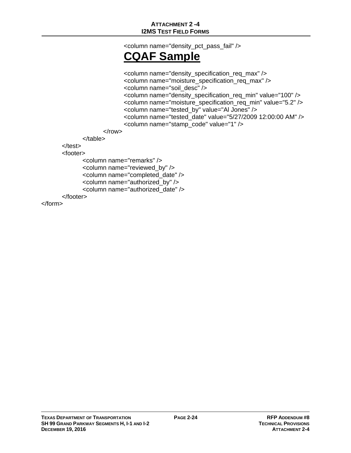<column name="density\_pct\_pass\_fail" />

## **CQAF Sample**

<column name="density\_specification\_req\_max" /> <column name="moisture\_specification\_req\_max" /> <column name="soil\_desc" /> <column name="density\_specification\_req\_min" value="100" /> <column name="moisture\_specification\_req\_min" value="5.2" /> <column name="tested\_by" value="Al Jones" /> <column name="tested\_date" value="5/27/2009 12:00:00 AM" /> <column name="stamp\_code" value="1" /> </row>

 </table> </test>

<footer>

```
 <column name="remarks" /> 
        <column name="reviewed_by" /> 
        <column name="completed_date" /> 
        <column name="authorized_by" /> 
        <column name="authorized_date" /> 
 </footer>
```
</form>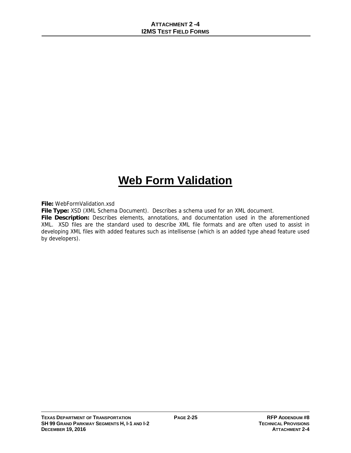## **Web Form Validation**

**File:** WebFormValidation.xsd

**File Type:** XSD (XML Schema Document). Describes a schema used for an XML document.

**File Description:** Describes elements, annotations, and documentation used in the aforementioned XML. XSD files are the standard used to describe XML file formats and are often used to assist in developing XML files with added features such as intellisense (which is an added type ahead feature used by developers).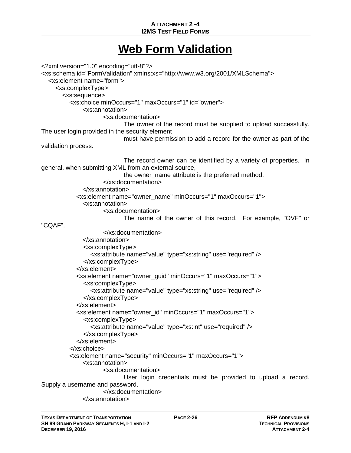### **ATTACHMENT 2 -4 I2MS TEST FIELD FORMS**

### **Web Form Validation**

<?xml version="1.0" encoding="utf-8"?> <xs:schema id="FormValidation" xmlns:xs="http://www.w3.org/2001/XMLSchema"> <xs:element name="form"> <xs:complexType> <xs:sequence> <xs:choice minOccurs="1" maxOccurs="1" id="owner"> <xs:annotation> <xs:documentation> The owner of the record must be supplied to upload successfully. The user login provided in the security element must have permission to add a record for the owner as part of the validation process. The record owner can be identified by a variety of properties. In general, when submitting XML from an external source, the owner\_name attribute is the preferred method. </xs:documentation> </xs:annotation> <xs:element name="owner\_name" minOccurs="1" maxOccurs="1"> <xs:annotation> <xs:documentation> The name of the owner of this record. For example, "OVF" or "CQAF". </xs:documentation> </xs:annotation> <xs:complexType> <xs:attribute name="value" type="xs:string" use="required" /> </xs:complexType> </xs:element> <xs:element name="owner\_guid" minOccurs="1" maxOccurs="1"> <xs:complexType> <xs:attribute name="value" type="xs:string" use="required" /> </xs:complexType> </xs:element> <xs:element name="owner\_id" minOccurs="1" maxOccurs="1"> <xs:complexType> <xs:attribute name="value" type="xs:int" use="required" /> </xs:complexType> </xs:element> </xs:choice> <xs:element name="security" minOccurs="1" maxOccurs="1"> <xs:annotation> <xs:documentation> User login credentials must be provided to upload a record. Supply a username and password. </xs:documentation> </xs:annotation>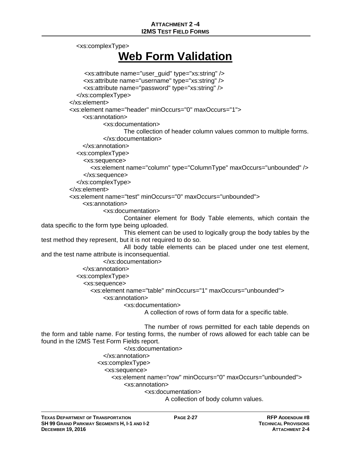<xs:complexType>

## **Web Form Validation**

```
 <xs:attribute name="user_guid" type="xs:string" /> 
                <xs:attribute name="username" type="xs:string" /> 
                <xs:attribute name="password" type="xs:string" /> 
             </xs:complexType> 
           </xs:element> 
           <xs:element name="header" minOccurs="0" maxOccurs="1"> 
               <xs:annotation> 
                       <xs:documentation> 
                              The collection of header column values common to multiple forms. 
                       </xs:documentation> 
               </xs:annotation> 
             <xs:complexType> 
                <xs:sequence> 
                  <xs:element name="column" type="ColumnType" maxOccurs="unbounded" /> 
                </xs:sequence> 
             </xs:complexType> 
           </xs:element> 
           <xs:element name="test" minOccurs="0" maxOccurs="unbounded"> 
               <xs:annotation> 
                       <xs:documentation> 
                              Container element for Body Table elements, which contain the 
data specific to the form type being uploaded. 
                              This element can be used to logically group the body tables by the 
test method they represent, but it is not required to do so. 
                              All body table elements can be placed under one test element, 
and the test name attribute is inconsequential. 
                       </xs:documentation> 
               </xs:annotation> 
             <xs:complexType> 
                <xs:sequence> 
                  <xs:element name="table" minOccurs="1" maxOccurs="unbounded"> 
                       <xs:annotation> 
                              <xs:documentation> 
                                     A collection of rows of form data for a specific table. 
                                     The number of rows permitted for each table depends on 
the form and table name. For testing forms, the number of rows allowed for each table can be 
found in the I2MS Test Form Fields report. 
                              </xs:documentation> 
                       </xs:annotation> 
                     <xs:complexType> 
                       <xs:sequence>
```
<xs:element name="row" minOccurs="0" maxOccurs="unbounded">

<xs:annotation>

<xs:documentation>

A collection of body column values.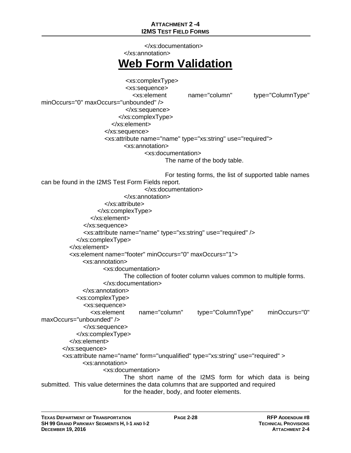### **ATTACHMENT 2 -4 I2MS TEST FIELD FORMS**

 </xs:documentation> </xs:annotation> **Web Form Validation** <xs:complexType> <xs:sequence> <xs:element name="column" type="ColumnType" minOccurs="0" maxOccurs="unbounded" /> </xs:sequence> </xs:complexType> </xs:element> </xs:sequence> <xs:attribute name="name" type="xs:string" use="required"> <xs:annotation> <xs:documentation> The name of the body table. For testing forms, the list of supported table names can be found in the I2MS Test Form Fields report. </xs:documentation> </xs:annotation> </xs:attribute> </xs:complexType> </xs:element> </xs:sequence> <xs:attribute name="name" type="xs:string" use="required" /> </xs:complexType> </xs:element> <xs:element name="footer" minOccurs="0" maxOccurs="1"> <xs:annotation> <xs:documentation> The collection of footer column values common to multiple forms. </xs:documentation> </xs:annotation> <xs:complexType> <xs:sequence> <xs:element name="column" type="ColumnType" minOccurs="0" maxOccurs="unbounded" /> </xs:sequence> </xs:complexType> </xs:element> </xs:sequence> <xs:attribute name="name" form="unqualified" type="xs:string" use="required" > <xs:annotation> <xs:documentation> The short name of the I2MS form for which data is being submitted. This value determines the data columns that are supported and required for the header, body, and footer elements.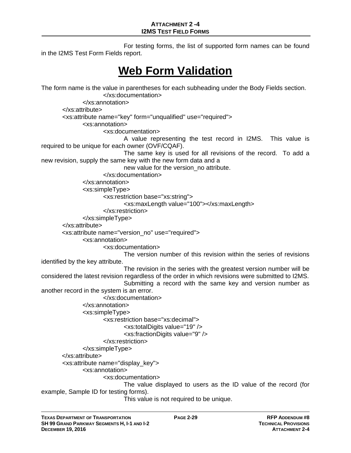For testing forms, the list of supported form names can be found in the I2MS Test Form Fields report.

## **Web Form Validation**

The form name is the value in parentheses for each subheading under the Body Fields section. </xs:documentation> </xs:annotation> </xs:attribute> <xs:attribute name="key" form="unqualified" use="required"> <xs:annotation> <xs:documentation> A value representing the test record in I2MS. This value is required to be unique for each owner (OVF/CQAF). The same key is used for all revisions of the record. To add a new revision, supply the same key with the new form data and a new value for the version\_no attribute. </xs:documentation> </xs:annotation> <xs:simpleType> <xs:restriction base="xs:string"> <xs:maxLength value="100"></xs:maxLength> </xs:restriction> </xs:simpleType> </xs:attribute> <xs:attribute name="version\_no" use="required"> <xs:annotation> <xs:documentation> The version number of this revision within the series of revisions identified by the key attribute. The revision in the series with the greatest version number will be considered the latest revision regardless of the order in which revisions were submitted to I2MS. Submitting a record with the same key and version number as another record in the system is an error. </xs:documentation> </xs:annotation> <xs:simpleType> <xs:restriction base="xs:decimal"> <xs:totalDigits value="19" /> <xs:fractionDigits value="9" /> </xs:restriction> </xs:simpleType> </xs:attribute> <xs:attribute name="display\_key"> <xs:annotation> <xs:documentation> The value displayed to users as the ID value of the record (for example, Sample ID for testing forms). This value is not required to be unique.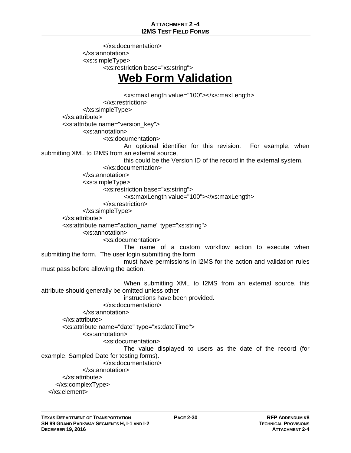</xs:documentation> </xs:annotation> <xs:simpleType> <xs:restriction base="xs:string">

### **Web Form Validation**

<xs:maxLength value="100"></xs:maxLength> </xs:restriction> </xs:simpleType> </xs:attribute> <xs:attribute name="version\_key"> <xs:annotation> <xs:documentation> An optional identifier for this revision. For example, when submitting XML to I2MS from an external source, this could be the Version ID of the record in the external system. </xs:documentation> </xs:annotation> <xs:simpleType> <xs:restriction base="xs:string"> <xs:maxLength value="100"></xs:maxLength> </xs:restriction> </xs:simpleType> </xs:attribute> <xs:attribute name="action\_name" type="xs:string"> <xs:annotation> <xs:documentation> The name of a custom workflow action to execute when submitting the form. The user login submitting the form must have permissions in I2MS for the action and validation rules must pass before allowing the action. When submitting XML to I2MS from an external source, this attribute should generally be omitted unless other instructions have been provided. </xs:documentation> </xs:annotation> </xs:attribute> <xs:attribute name="date" type="xs:dateTime"> <xs:annotation> <xs:documentation> The value displayed to users as the date of the record (for example, Sampled Date for testing forms). </xs:documentation> </xs:annotation> </xs:attribute> </xs:complexType> </xs:element>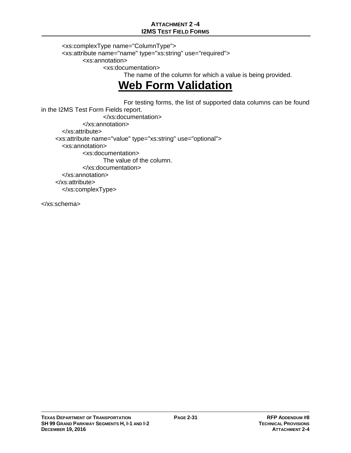### **ATTACHMENT 2 -4 I2MS TEST FIELD FORMS**

 <xs:complexType name="ColumnType"> <xs:attribute name="name" type="xs:string" use="required"> <xs:annotation> <xs:documentation>

The name of the column for which a value is being provided.

## **Web Form Validation**

 For testing forms, the list of supported data columns can be found in the I2MS Test Form Fields report. </xs:documentation> </xs:annotation> </xs:attribute> <xs:attribute name="value" type="xs:string" use="optional"> <xs:annotation> <xs:documentation> The value of the column. </xs:documentation> </xs:annotation> </xs:attribute> </xs:complexType>

</xs:schema>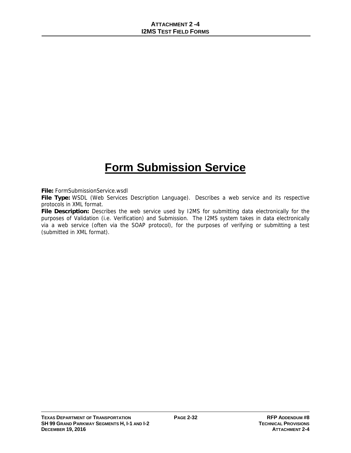## **Form Submission Service**

**File:** FormSubmissionService.wsdl

**File Type:** WSDL (Web Services Description Language). Describes a web service and its respective protocols in XML format.

**File Description:** Describes the web service used by I2MS for submitting data electronically for the purposes of Validation (i.e. Verification) and Submission. The I2MS system takes in data electronically via a web service (often via the SOAP protocol), for the purposes of verifying or submitting a test (submitted in XML format).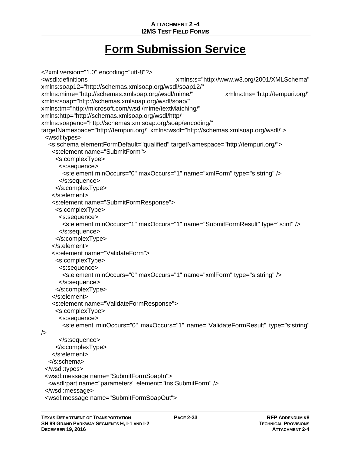## **Form Submission Service**

```
<?xml version="1.0" encoding="utf-8"?> 
<wsdl:definitions xmlns:s="http://www.w3.org/2001/XMLSchema" 
xmlns:soap12="http://schemas.xmlsoap.org/wsdl/soap12/" 
xmlns:mime="http://schemas.xmlsoap.org/wsdl/mime/" xmlns:tns="http://tempuri.org/" 
xmlns:soap="http://schemas.xmlsoap.org/wsdl/soap/" 
xmlns:tm="http://microsoft.com/wsdl/mime/textMatching/" 
xmlns:http="http://schemas.xmlsoap.org/wsdl/http/" 
xmlns:soapenc="http://schemas.xmlsoap.org/soap/encoding/" 
targetNamespace="http://tempuri.org/" xmlns:wsdl="http://schemas.xmlsoap.org/wsdl/"> 
  <wsdl:types> 
   <s:schema elementFormDefault="qualified" targetNamespace="http://tempuri.org/"> 
    <s:element name="SubmitForm"> 
     <s:complexType> 
      <s:sequence> 
        <s:element minOccurs="0" maxOccurs="1" name="xmlForm" type="s:string" /> 
       </s:sequence> 
     </s:complexType> 
    </s:element> 
    <s:element name="SubmitFormResponse"> 
     <s:complexType> 
      <s:sequence> 
        <s:element minOccurs="1" maxOccurs="1" name="SubmitFormResult" type="s:int" /> 
      </s:sequence> 
     </s:complexType> 
    </s:element> 
    <s:element name="ValidateForm"> 
     <s:complexType> 
      <s:sequence> 
        <s:element minOccurs="0" maxOccurs="1" name="xmlForm" type="s:string" /> 
      </s:sequence> 
     </s:complexType> 
    </s:element> 
    <s:element name="ValidateFormResponse"> 
     <s:complexType> 
      <s:sequence> 
        <s:element minOccurs="0" maxOccurs="1" name="ValidateFormResult" type="s:string" 
/> 
      </s:sequence> 
     </s:complexType> 
    </s:element> 
   </s:schema> 
  </wsdl:types> 
  <wsdl:message name="SubmitFormSoapIn"> 
   <wsdl:part name="parameters" element="tns:SubmitForm" /> 
  </wsdl:message> 
  <wsdl:message name="SubmitFormSoapOut">
```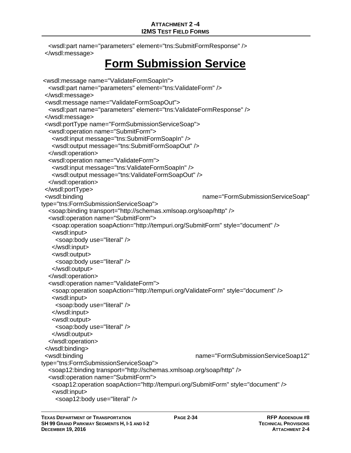<wsdl:part name="parameters" element="tns:SubmitFormResponse" /> </wsdl:message>

## **Form Submission Service**

```
 <wsdl:message name="ValidateFormSoapIn"> 
   <wsdl:part name="parameters" element="tns:ValidateForm" /> 
  </wsdl:message> 
  <wsdl:message name="ValidateFormSoapOut"> 
   <wsdl:part name="parameters" element="tns:ValidateFormResponse" /> 
  </wsdl:message> 
  <wsdl:portType name="FormSubmissionServiceSoap"> 
   <wsdl:operation name="SubmitForm"> 
    <wsdl:input message="tns:SubmitFormSoapIn" /> 
    <wsdl:output message="tns:SubmitFormSoapOut" /> 
   </wsdl:operation> 
   <wsdl:operation name="ValidateForm"> 
    <wsdl:input message="tns:ValidateFormSoapIn" /> 
    <wsdl:output message="tns:ValidateFormSoapOut" /> 
   </wsdl:operation> 
  </wsdl:portType> 
  <wsdl:binding name="FormSubmissionServiceSoap" 
type="tns:FormSubmissionServiceSoap"> 
   <soap:binding transport="http://schemas.xmlsoap.org/soap/http" /> 
   <wsdl:operation name="SubmitForm"> 
    <soap:operation soapAction="http://tempuri.org/SubmitForm" style="document" /> 
    <wsdl:input> 
     <soap:body use="literal" /> 
    </wsdl:input> 
    <wsdl:output> 
     <soap:body use="literal" /> 
    </wsdl:output> 
   </wsdl:operation> 
   <wsdl:operation name="ValidateForm"> 
    <soap:operation soapAction="http://tempuri.org/ValidateForm" style="document" /> 
    <wsdl:input> 
     <soap:body use="literal" /> 
    </wsdl:input> 
    <wsdl:output> 
     <soap:body use="literal" /> 
    </wsdl:output> 
   </wsdl:operation> 
  </wsdl:binding> 
  <wsdl:binding name="FormSubmissionServiceSoap12" 
type="tns:FormSubmissionServiceSoap"> 
   <soap12:binding transport="http://schemas.xmlsoap.org/soap/http" /> 
   <wsdl:operation name="SubmitForm"> 
    <soap12:operation soapAction="http://tempuri.org/SubmitForm" style="document" /> 
    <wsdl:input> 
     <soap12:body use="literal" />
```